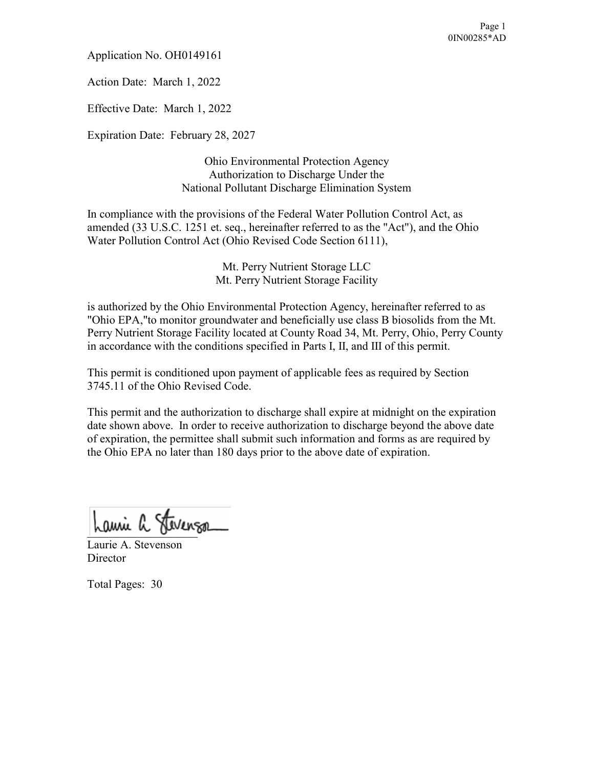Application No. OH0149161

Action Date: March 1, 2022

Effective Date: March 1, 2022

Expiration Date: February 28, 2027

Ohio Environmental Protection Agency Authorization to Discharge Under the National Pollutant Discharge Elimination System

In compliance with the provisions of the Federal Water Pollution Control Act, as amended (33 U.S.C. 1251 et. seq., hereinafter referred to as the "Act"), and the Ohio Water Pollution Control Act (Ohio Revised Code Section 6111),

> Mt. Perry Nutrient Storage LLC Mt. Perry Nutrient Storage Facility

is authorized by the Ohio Environmental Protection Agency, hereinafter referred to as "Ohio EPA,"to monitor groundwater and beneficially use class B biosolids from the Mt. Perry Nutrient Storage Facility located at County Road 34, Mt. Perry, Ohio, Perry County in accordance with the conditions specified in Parts I, II, and III of this permit.

This permit is conditioned upon payment of applicable fees as required by Section 3745.11 of the Ohio Revised Code.

This permit and the authorization to discharge shall expire at midnight on the expiration date shown above. In order to receive authorization to discharge beyond the above date of expiration, the permittee shall submit such information and forms as are required by the Ohio EPA no later than 180 days prior to the above date of expiration.

Lami a Fevenso

Laurie A. Stevenson **Director** 

Total Pages: 30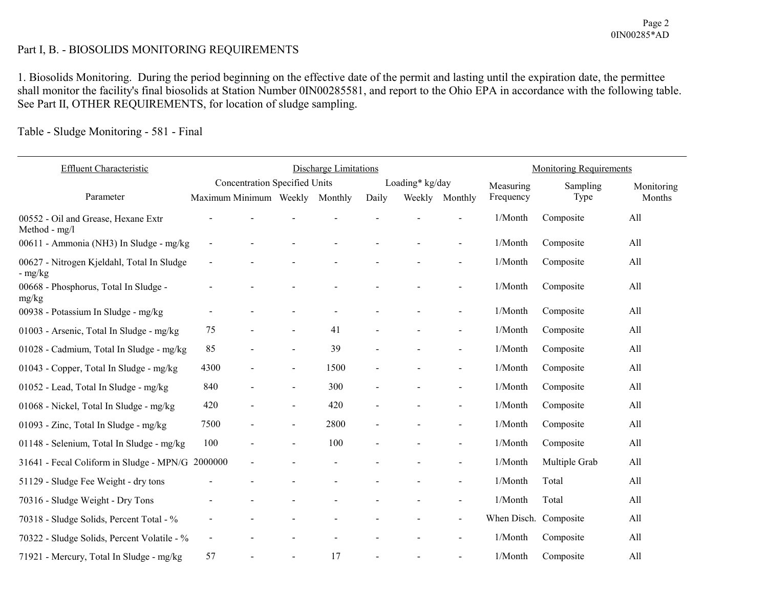# Part I, B. - BIOSOLIDS MONITORING REQUIREMENTS

1. Biosolids Monitoring. During the period beginning on the effective date of the permit and lasting until the expiration date, the permittee shall monitor the facility's final biosolids at Station Number 0IN00285581, and report to the Ohio EPA in accordance with the following table. See Part II, OTHER REQUIREMENTS, for location of sludge sampling.

# Table - Sludge Monitoring - 581 - Final

| <b>Effluent Characteristic</b>                          |                                |                          |                                      | <b>Discharge Limitations</b> |                          |                 |                          |                       | <b>Monitoring Requirements</b> |            |
|---------------------------------------------------------|--------------------------------|--------------------------|--------------------------------------|------------------------------|--------------------------|-----------------|--------------------------|-----------------------|--------------------------------|------------|
|                                                         |                                |                          | <b>Concentration Specified Units</b> |                              |                          | Loading* kg/day |                          | Measuring             | Sampling                       | Monitoring |
| Parameter                                               | Maximum Minimum Weekly Monthly |                          |                                      |                              | Daily                    | Weekly          | Monthly                  | Frequency             | Type                           | Months     |
| 00552 - Oil and Grease, Hexane Extr<br>Method - $mg/l$  |                                |                          |                                      |                              |                          |                 |                          | 1/Month               | Composite                      | All        |
| 00611 - Ammonia (NH3) In Sludge - mg/kg                 |                                |                          |                                      |                              |                          |                 |                          | 1/Month               | Composite                      | All        |
| 00627 - Nitrogen Kjeldahl, Total In Sludge<br>$-$ mg/kg |                                |                          |                                      |                              |                          |                 |                          | 1/Month               | Composite                      | All        |
| 00668 - Phosphorus, Total In Sludge -<br>mg/kg          |                                |                          |                                      |                              |                          |                 |                          | 1/Month               | Composite                      | All        |
| 00938 - Potassium In Sludge - mg/kg                     |                                |                          |                                      |                              |                          |                 |                          | 1/Month               | Composite                      | All        |
| 01003 - Arsenic, Total In Sludge - mg/kg                | 75                             | $\overline{\phantom{a}}$ | $\overline{\phantom{a}}$             | 41                           | $\overline{\phantom{a}}$ |                 | $\blacksquare$           | 1/Month               | Composite                      | All        |
| 01028 - Cadmium, Total In Sludge - mg/kg                | 85                             |                          |                                      | 39                           |                          |                 | $\blacksquare$           | 1/Month               | Composite                      | All        |
| 01043 - Copper, Total In Sludge - mg/kg                 | 4300                           | $\blacksquare$           | $\blacksquare$                       | 1500                         |                          |                 | $\sim$                   | 1/Month               | Composite                      | All        |
| 01052 - Lead, Total In Sludge - mg/kg                   | 840                            |                          | $\sim$                               | 300                          |                          |                 | $\sim$                   | 1/Month               | Composite                      | All        |
| 01068 - Nickel, Total In Sludge - mg/kg                 | 420                            |                          | $\blacksquare$                       | 420                          |                          |                 | $\sim$                   | 1/Month               | Composite                      | All        |
| 01093 - Zinc, Total In Sludge - mg/kg                   | 7500                           |                          | $\overline{\phantom{a}}$             | 2800                         |                          |                 | $\sim$                   | 1/Month               | Composite                      | All        |
| 01148 - Selenium, Total In Sludge - mg/kg               | 100                            |                          | $\blacksquare$                       | 100                          |                          |                 |                          | 1/Month               | Composite                      | All        |
| 31641 - Fecal Coliform in Sludge - MPN/G 2000000        |                                |                          |                                      |                              |                          |                 | $\sim$                   | 1/Month               | Multiple Grab                  | All        |
| 51129 - Sludge Fee Weight - dry tons                    |                                |                          |                                      |                              |                          |                 | $\sim$                   | 1/Month               | Total                          | All        |
| 70316 - Sludge Weight - Dry Tons                        |                                |                          |                                      |                              |                          |                 | $\overline{\phantom{a}}$ | 1/Month               | Total                          | All        |
| 70318 - Sludge Solids, Percent Total - %                |                                |                          |                                      |                              |                          |                 |                          | When Disch. Composite |                                | All        |
| 70322 - Sludge Solids, Percent Volatile - %             | $\blacksquare$                 |                          |                                      |                              |                          |                 | $\sim$                   | 1/Month               | Composite                      | All        |
| 71921 - Mercury, Total In Sludge - mg/kg                | 57                             |                          |                                      | 17                           |                          |                 |                          | 1/Month               | Composite                      | All        |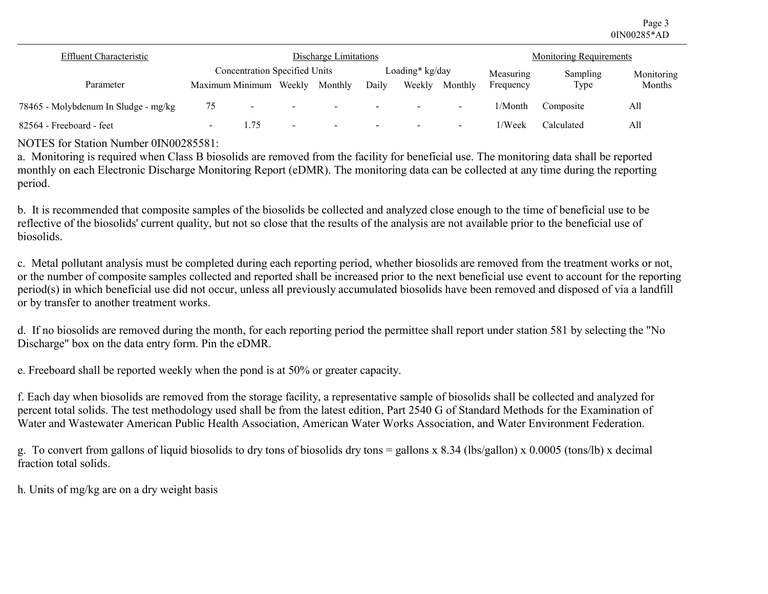Page 3 0IN00285\*AD

| <b>Effluent Characteristic</b>       | Discharge Limitations    |                                      |                          |         |                          |                          |                          | <b>Monitoring Requirements</b> |            |            |
|--------------------------------------|--------------------------|--------------------------------------|--------------------------|---------|--------------------------|--------------------------|--------------------------|--------------------------------|------------|------------|
|                                      |                          | <b>Concentration Specified Units</b> |                          |         |                          | Loading* kg/day          |                          | Measuring                      | Sampling   | Monitoring |
| Parameter                            |                          | Maximum Minimum                      | Weekly                   | Monthly | Daily                    | Weekly                   | Monthly                  | Frequency                      | Type       | Months     |
| 78465 - Molybdenum In Sludge - mg/kg | 75                       | $\overline{\phantom{0}}$             |                          | $\sim$  | $\overline{\phantom{0}}$ | $\overline{\phantom{0}}$ | $\sim$                   | $1/M$ onth                     | Composite  | All        |
| 82564 - Freeboard - feet             | $\overline{\phantom{0}}$ | 1.75                                 | $\overline{\phantom{a}}$ | $\sim$  | $\sim$                   | $\overline{\phantom{a}}$ | $\overline{\phantom{0}}$ | 1/Week                         | Calculated | All        |

NOTES for Station Number 0IN00285581:

a. Monitoring is required when Class B biosolids are removed from the facility for beneficial use. The monitoring data shall be reported monthly on each Electronic Discharge Monitoring Report (eDMR). The monitoring data can be collected at any time during the reporting period.

b. It is recommended that composite samples of the biosolids be collected and analyzed close enough to the time of beneficial use to be reflective of the biosolids' current quality, but not so close that the results of the analysis are not available prior to the beneficial use of biosolids.

c. Metal pollutant analysis must be completed during each reporting period, whether biosolids are removed from the treatment works or not, or the number of composite samples collected and reported shall be increased prior to the next beneficial use event to account for the reporting period(s) in which beneficial use did not occur, unless all previously accumulated biosolids have been removed and disposed of via a landfill or by transfer to another treatment works.

d. If no biosolids are removed during the month, for each reporting period the permittee shall report under station 581 by selecting the "No Discharge" box on the data entry form. Pin the eDMR.

e. Freeboard shall be reported weekly when the pond is at 50% or greater capacity.

f. Each day when biosolids are removed from the storage facility, a representative sample of biosolids shall be collected and analyzed for percent total solids. The test methodology used shall be from the latest edition, Part 2540 G of Standard Methods for the Examination of Water and Wastewater American Public Health Association, American Water Works Association, and Water Environment Federation.

g. To convert from gallons of liquid biosolids to dry tons of biosolids dry tons = gallons x 8.34 (lbs/gallon) x 0.0005 (tons/lb) x decimal fraction total solids.

h. Units of mg/kg are on a dry weight basis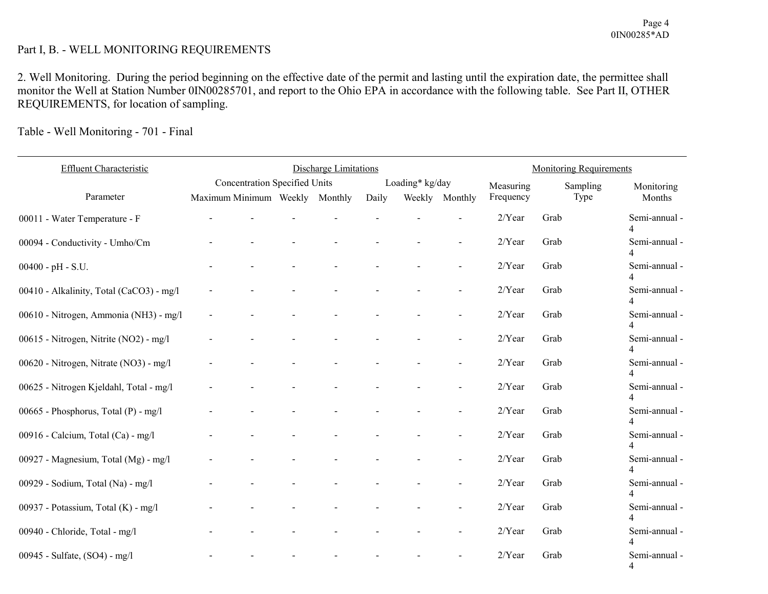# Part I, B. - WELL MONITORING REQUIREMENTS

2. Well Monitoring. During the period beginning on the effective date of the permit and lasting until the expiration date, the permittee shall monitor the Well at Station Number 0IN00285701, and report to the Ohio EPA in accordance with the following table. See Part II, OTHER REQUIREMENTS, for location of sampling.

Table - Well Monitoring - 701 - Final

| Effluent Characteristic                  |                                | <b>Discharge Limitations</b>         |  |  |       |                 | <b>Monitoring Requirements</b> |           |          |                                           |
|------------------------------------------|--------------------------------|--------------------------------------|--|--|-------|-----------------|--------------------------------|-----------|----------|-------------------------------------------|
|                                          |                                | <b>Concentration Specified Units</b> |  |  |       | Loading* kg/day |                                | Measuring | Sampling | Monitoring                                |
| Parameter                                | Maximum Minimum Weekly Monthly |                                      |  |  | Daily |                 | Weekly Monthly                 | Frequency | Type     | Months                                    |
| 00011 - Water Temperature - F            |                                |                                      |  |  |       |                 |                                | $2/Y$ ear | Grab     | Semi-annual -                             |
| 00094 - Conductivity - Umho/Cm           |                                |                                      |  |  |       |                 |                                | 2/Year    | Grab     | Semi-annual -                             |
| $00400 - pH - S.U.$                      |                                |                                      |  |  |       |                 |                                | $2/Y$ ear | Grab     | Semi-annual -                             |
| 00410 - Alkalinity, Total (CaCO3) - mg/l |                                |                                      |  |  |       |                 | $\overline{a}$                 | $2/Y$ ear | Grab     | Semi-annual -                             |
| 00610 - Nitrogen, Ammonia (NH3) - mg/l   |                                |                                      |  |  |       |                 | $\overline{a}$                 | 2/Year    | Grab     | Semi-annual -<br>$\overline{4}$           |
| 00615 - Nitrogen, Nitrite (NO2) - mg/l   |                                |                                      |  |  |       |                 |                                | 2/Year    | Grab     | Semi-annual -                             |
| 00620 - Nitrogen, Nitrate (NO3) - mg/l   |                                |                                      |  |  |       |                 |                                | 2/Year    | Grab     | Semi-annual -                             |
| 00625 - Nitrogen Kjeldahl, Total - mg/l  |                                |                                      |  |  |       |                 |                                | $2/Y$ ear | Grab     | Semi-annual -                             |
| 00665 - Phosphorus, Total (P) - mg/l     |                                |                                      |  |  |       |                 |                                | $2/Y$ ear | Grab     | Semi-annual -                             |
| 00916 - Calcium, Total (Ca) - mg/l       |                                |                                      |  |  |       |                 |                                | $2/Y$ ear | Grab     | Semi-annual -<br>4                        |
| 00927 - Magnesium, Total (Mg) - mg/l     |                                |                                      |  |  |       |                 |                                | 2/Year    | Grab     | Semi-annual -<br>$\overline{\mathcal{A}}$ |
| 00929 - Sodium, Total (Na) - mg/l        |                                |                                      |  |  |       |                 |                                | 2/Year    | Grab     | Semi-annual -                             |
| 00937 - Potassium, Total (K) - mg/l      |                                |                                      |  |  |       |                 |                                | $2/Y$ ear | Grab     | Semi-annual -                             |
| 00940 - Chloride, Total - mg/l           |                                |                                      |  |  |       |                 |                                | 2/Year    | Grab     | Semi-annual -                             |
| 00945 - Sulfate, (SO4) - mg/l            |                                |                                      |  |  |       |                 |                                | $2/Y$ ear | Grab     | Semi-annual -<br>$\overline{4}$           |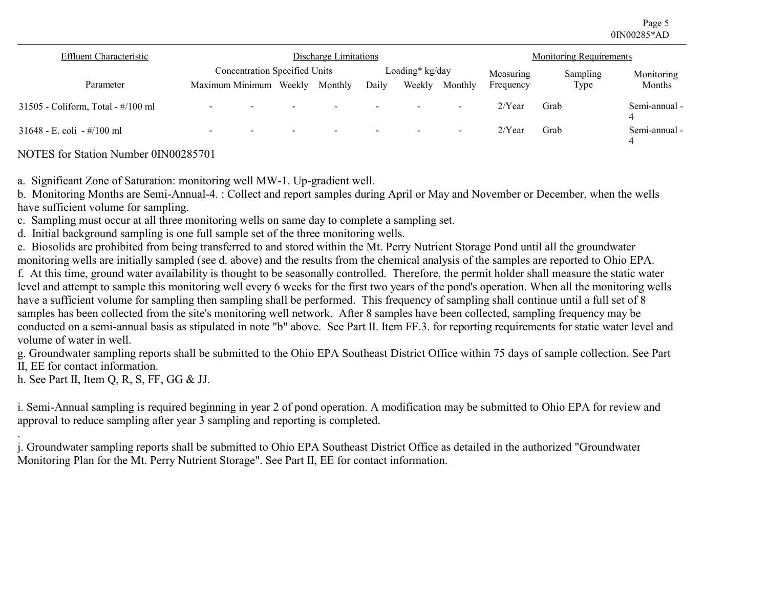Page 5 0IN00285\*AD

| <b>Effluent Characteristic</b>     |                                                      |        | Discharge Limitations    |                          |                          |                          |           | <b>Monitoring Requirements</b> |                    |
|------------------------------------|------------------------------------------------------|--------|--------------------------|--------------------------|--------------------------|--------------------------|-----------|--------------------------------|--------------------|
|                                    | <b>Concentration Specified Units</b>                 |        |                          |                          | Loading* kg/day          |                          | Measuring | Sampling                       | Monitoring         |
| Parameter                          | Maximum Minimum Weekly                               |        | Monthly                  | Daily                    | Weekly                   | Monthly                  | Frequency | Type                           | Months             |
| 31505 - Coliform, Total - #/100 ml | $\overline{\phantom{0}}$<br>$\overline{\phantom{0}}$ |        | $\overline{\phantom{a}}$ | $\overline{\phantom{0}}$ |                          | $\overline{\phantom{a}}$ | $2$ /Year | Grab                           | Semi-annual -      |
| 31648 - E. coli - #/100 ml         | $\overline{\phantom{0}}$<br>$\overline{\phantom{0}}$ | $\sim$ | $\overline{\phantom{0}}$ | $\overline{\phantom{0}}$ | $\overline{\phantom{a}}$ | $\overline{\phantom{0}}$ | $2/Y$ ear | Grab                           | Semi-annual -<br>4 |

NOTES for Station Number 0IN00285701

a. Significant Zone of Saturation: monitoring well MW-1. Up-gradient well.

b. Monitoring Months are Semi-Annual-4. : Collect and report samples during April or May and November or December, when the wells have sufficient volume for sampling.

c. Sampling must occur at all three monitoring wells on same day to complete a sampling set.

d. Initial background sampling is one full sample set of the three monitoring wells.

e. Biosolids are prohibited from being transferred to and stored within the Mt. Perry Nutrient Storage Pond until all the groundwater monitoring wells are initially sampled (see d. above) and the results from the chemical analysis of the samples are reported to Ohio EPA.

f. At this time, ground water availability is thought to be seasonally controlled. Therefore, the permit holder shall measure the static water level and attempt to sample this monitoring well every 6 weeks for the first two years of the pond's operation. When all the monitoring wells have a sufficient volume for sampling then sampling shall be performed. This frequency of sampling shall continue until a full set of 8 samples has been collected from the site's monitoring well network. After 8 samples have been collected, sampling frequency may be conducted on a semi-annual basis as stipulated in note "b" above. See Part II. Item FF.3. for reporting requirements for static water level and volume of water in well.

g. Groundwater sampling reports shall be submitted to the Ohio EPA Southeast District Office within 75 days of sample collection. See Part II, EE for contact information.

h. See Part II, Item Q, R, S, FF, GG & JJ.

i. Semi-Annual sampling is required beginning in year 2 of pond operation. A modification may be submitted to Ohio EPA for review and approval to reduce sampling after year 3 sampling and reporting is completed.

. j. Groundwater sampling reports shall be submitted to Ohio EPA Southeast District Office as detailed in the authorized "Groundwater Monitoring Plan for the Mt. Perry Nutrient Storage". See Part II, EE for contact information.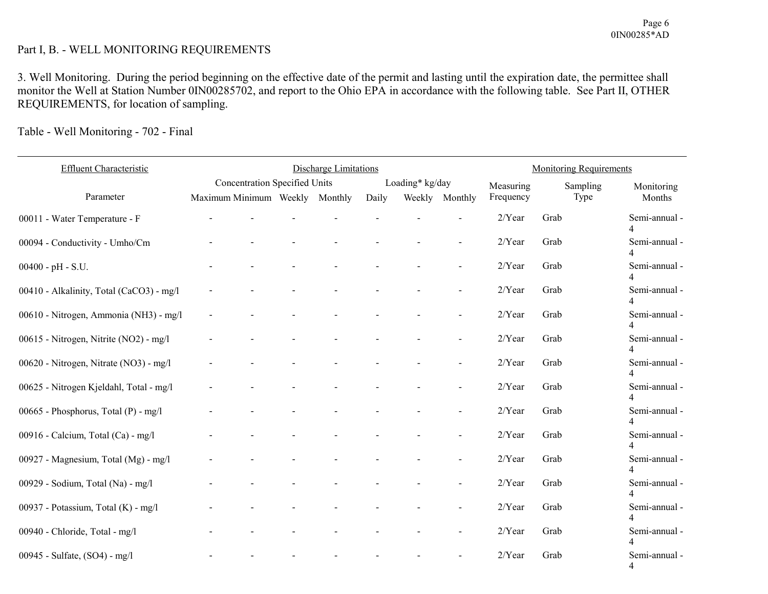# Part I, B. - WELL MONITORING REQUIREMENTS

3. Well Monitoring. During the period beginning on the effective date of the permit and lasting until the expiration date, the permittee shall monitor the Well at Station Number 0IN00285702, and report to the Ohio EPA in accordance with the following table. See Part II, OTHER REQUIREMENTS, for location of sampling.

Table - Well Monitoring - 702 - Final

| Effluent Characteristic                  |                        | <b>Discharge Limitations</b>         |  |         |       |                 | <b>Monitoring Requirements</b> |           |          |                                           |
|------------------------------------------|------------------------|--------------------------------------|--|---------|-------|-----------------|--------------------------------|-----------|----------|-------------------------------------------|
|                                          |                        | <b>Concentration Specified Units</b> |  |         |       | Loading* kg/day |                                | Measuring | Sampling | Monitoring                                |
| Parameter                                | Maximum Minimum Weekly |                                      |  | Monthly | Daily | Weekly          | Monthly                        | Frequency | Type     | Months                                    |
| 00011 - Water Temperature - F            |                        |                                      |  |         |       |                 |                                | $2/Y$ ear | Grab     | Semi-annual -                             |
| 00094 - Conductivity - Umho/Cm           |                        |                                      |  |         |       |                 |                                | $2/Y$ ear | Grab     | Semi-annual -                             |
| $00400 - pH - S.U.$                      |                        |                                      |  |         |       |                 |                                | $2/Y$ ear | Grab     | Semi-annual -                             |
| 00410 - Alkalinity, Total (CaCO3) - mg/l |                        |                                      |  |         |       |                 | $\overline{\phantom{a}}$       | $2/Y$ ear | Grab     | Semi-annual -<br>4                        |
| 00610 - Nitrogen, Ammonia (NH3) - mg/l   |                        |                                      |  |         |       |                 |                                | 2/Year    | Grab     | Semi-annual -<br>$\overline{4}$           |
| 00615 - Nitrogen, Nitrite (NO2) - mg/l   |                        |                                      |  |         |       |                 |                                | 2/Year    | Grab     | Semi-annual -                             |
| 00620 - Nitrogen, Nitrate (NO3) - mg/l   |                        |                                      |  |         |       |                 |                                | $2/Y$ ear | Grab     | Semi-annual -                             |
| 00625 - Nitrogen Kjeldahl, Total - mg/l  |                        |                                      |  |         |       |                 |                                | 2/Year    | Grab     | Semi-annual -                             |
| 00665 - Phosphorus, Total (P) - mg/l     |                        |                                      |  |         |       |                 |                                | 2/Year    | Grab     | Semi-annual -                             |
| 00916 - Calcium, Total (Ca) - mg/l       |                        |                                      |  |         |       |                 |                                | $2/Y$ ear | Grab     | Semi-annual -<br>4                        |
| 00927 - Magnesium, Total (Mg) - mg/l     |                        |                                      |  |         |       |                 | $\overline{\phantom{a}}$       | 2/Year    | Grab     | Semi-annual -<br>$\overline{\mathcal{A}}$ |
| 00929 - Sodium, Total (Na) - mg/l        |                        |                                      |  |         |       |                 |                                | 2/Year    | Grab     | Semi-annual -                             |
| 00937 - Potassium, Total (K) - mg/l      |                        |                                      |  |         |       |                 |                                | 2/Year    | Grab     | Semi-annual -                             |
| 00940 - Chloride, Total - mg/l           |                        |                                      |  |         |       |                 |                                | 2/Year    | Grab     | Semi-annual -                             |
| 00945 - Sulfate, (SO4) - mg/l            |                        |                                      |  |         |       |                 |                                | $2/Y$ ear | Grab     | Semi-annual -<br>4                        |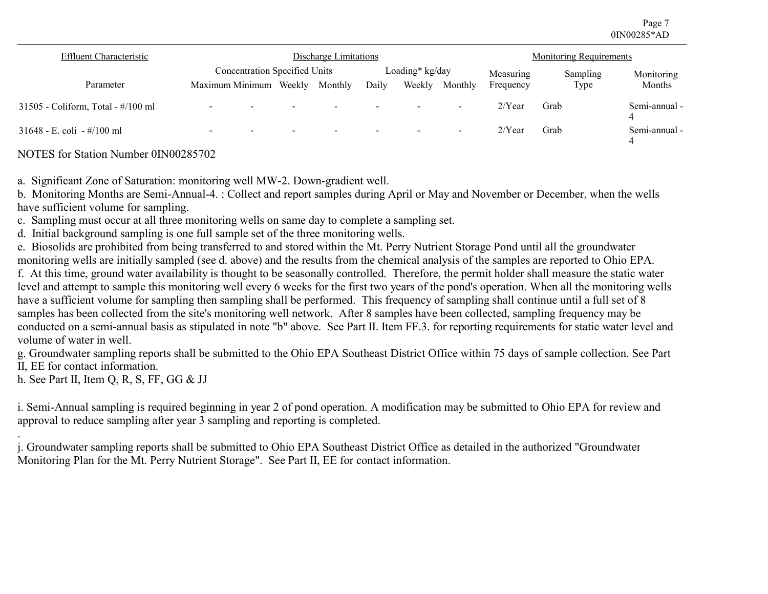Page 7 0IN00285\*AD

| <b>Effluent Characteristic</b>     |                                      | Discharge Limitations    |                          | <b>Monitoring Requirements</b> |                 |                          |           |          |                    |
|------------------------------------|--------------------------------------|--------------------------|--------------------------|--------------------------------|-----------------|--------------------------|-----------|----------|--------------------|
|                                    | <b>Concentration Specified Units</b> |                          |                          |                                | Loading* kg/day |                          | Measuring | Sampling | Monitoring         |
| Parameter                          | Maximum Minimum                      | Weekly                   | Monthly                  | Daily                          | Weekly          | Monthly                  | Frequency | Type     | Months             |
| 31505 - Coliform, Total - #/100 ml | $\overline{\phantom{0}}$             |                          | $\overline{\phantom{0}}$ |                                |                 | $\overline{\phantom{0}}$ | $2$ /Year | Grab     | Semi-annual -      |
| 31648 - E. coli <i>-</i> #/100 ml  | $\overline{\phantom{0}}$<br>$\sim$   | $\overline{\phantom{0}}$ | $\overline{\phantom{0}}$ | $\overline{\phantom{0}}$       |                 | $\overline{\phantom{0}}$ | $2$ /Year | Grab     | Semi-annual -<br>4 |

NOTES for Station Number 0IN00285702

a. Significant Zone of Saturation: monitoring well MW-2. Down-gradient well.

b. Monitoring Months are Semi-Annual-4. : Collect and report samples during April or May and November or December, when the wells have sufficient volume for sampling.

c. Sampling must occur at all three monitoring wells on same day to complete a sampling set.

d. Initial background sampling is one full sample set of the three monitoring wells.

e. Biosolids are prohibited from being transferred to and stored within the Mt. Perry Nutrient Storage Pond until all the groundwater monitoring wells are initially sampled (see d. above) and the results from the chemical analysis of the samples are reported to Ohio EPA.

f. At this time, ground water availability is thought to be seasonally controlled. Therefore, the permit holder shall measure the static water level and attempt to sample this monitoring well every 6 weeks for the first two years of the pond's operation. When all the monitoring wells have a sufficient volume for sampling then sampling shall be performed. This frequency of sampling shall continue until a full set of 8 samples has been collected from the site's monitoring well network. After 8 samples have been collected, sampling frequency may be conducted on a semi-annual basis as stipulated in note "b" above. See Part II. Item FF.3. for reporting requirements for static water level and volume of water in well.

g. Groundwater sampling reports shall be submitted to the Ohio EPA Southeast District Office within 75 days of sample collection. See Part II, EE for contact information.

h. See Part II, Item Q, R, S, FF, GG & JJ

i. Semi-Annual sampling is required beginning in year 2 of pond operation. A modification may be submitted to Ohio EPA for review and approval to reduce sampling after year 3 sampling and reporting is completed.

. j. Groundwater sampling reports shall be submitted to Ohio EPA Southeast District Office as detailed in the authorized "Groundwater Monitoring Plan for the Mt. Perry Nutrient Storage". See Part II, EE for contact information.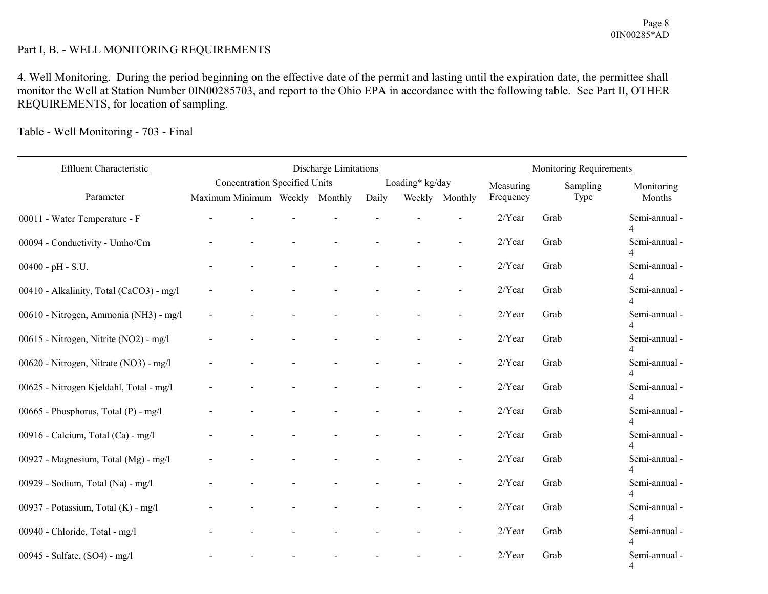# Part I, B. - WELL MONITORING REQUIREMENTS

4. Well Monitoring. During the period beginning on the effective date of the permit and lasting until the expiration date, the permittee shall monitor the Well at Station Number 0IN00285703, and report to the Ohio EPA in accordance with the following table. See Part II, OTHER REQUIREMENTS, for location of sampling.

Table - Well Monitoring - 703 - Final

| Effluent Characteristic                  |                                | <b>Discharge Limitations</b>         |  |  |       |                 | <b>Monitoring Requirements</b> |           |          |                                           |
|------------------------------------------|--------------------------------|--------------------------------------|--|--|-------|-----------------|--------------------------------|-----------|----------|-------------------------------------------|
|                                          |                                | <b>Concentration Specified Units</b> |  |  |       | Loading* kg/day |                                | Measuring | Sampling | Monitoring                                |
| Parameter                                | Maximum Minimum Weekly Monthly |                                      |  |  | Daily |                 | Weekly Monthly                 | Frequency | Type     | Months                                    |
| 00011 - Water Temperature - F            |                                |                                      |  |  |       |                 |                                | 2/Year    | Grab     | Semi-annual -                             |
| 00094 - Conductivity - Umho/Cm           |                                |                                      |  |  |       |                 |                                | 2/Year    | Grab     | Semi-annual -                             |
| $00400 - pH - S.U.$                      |                                |                                      |  |  |       |                 |                                | $2/Y$ ear | Grab     | Semi-annual -                             |
| 00410 - Alkalinity, Total (CaCO3) - mg/l |                                |                                      |  |  |       |                 | $\overline{a}$                 | $2/Y$ ear | Grab     | Semi-annual -                             |
| 00610 - Nitrogen, Ammonia (NH3) - mg/l   |                                |                                      |  |  |       |                 | $\overline{a}$                 | 2/Year    | Grab     | Semi-annual -<br>$\overline{4}$           |
| 00615 - Nitrogen, Nitrite (NO2) - mg/l   |                                |                                      |  |  |       |                 |                                | 2/Year    | Grab     | Semi-annual -                             |
| 00620 - Nitrogen, Nitrate (NO3) - mg/l   |                                |                                      |  |  |       |                 |                                | 2/Year    | Grab     | Semi-annual -                             |
| 00625 - Nitrogen Kjeldahl, Total - mg/l  |                                |                                      |  |  |       |                 |                                | 2/Year    | Grab     | Semi-annual -                             |
| 00665 - Phosphorus, Total (P) - mg/l     |                                |                                      |  |  |       |                 |                                | $2/Y$ ear | Grab     | Semi-annual -                             |
| 00916 - Calcium, Total (Ca) - mg/l       |                                |                                      |  |  |       |                 |                                | 2/Year    | Grab     | Semi-annual -<br>4                        |
| 00927 - Magnesium, Total (Mg) - mg/l     |                                |                                      |  |  |       |                 |                                | 2/Year    | Grab     | Semi-annual -<br>$\overline{\mathcal{A}}$ |
| 00929 - Sodium, Total (Na) - mg/l        |                                |                                      |  |  |       |                 |                                | 2/Year    | Grab     | Semi-annual -                             |
| 00937 - Potassium, Total (K) - mg/l      |                                |                                      |  |  |       |                 |                                | 2/Year    | Grab     | Semi-annual -                             |
| 00940 - Chloride, Total - mg/l           |                                |                                      |  |  |       |                 |                                | 2/Year    | Grab     | Semi-annual -                             |
| 00945 - Sulfate, (SO4) - mg/l            |                                |                                      |  |  |       |                 |                                | 2/Year    | Grab     | Semi-annual -<br>$\overline{4}$           |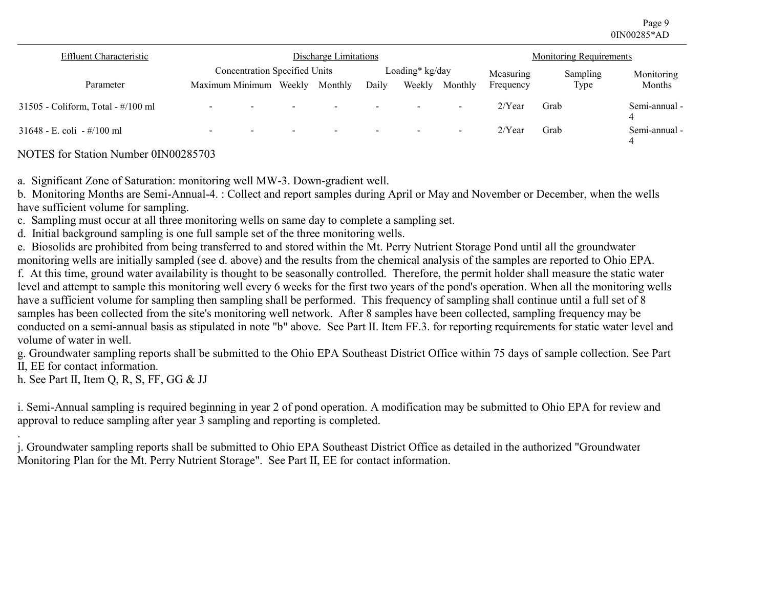Page 9 0IN00285\*AD

| Effluent Characteristic            | Discharge Limitations                                |        |         |                          |                 | <b>Monitoring Requirements</b> |           |          |                    |
|------------------------------------|------------------------------------------------------|--------|---------|--------------------------|-----------------|--------------------------------|-----------|----------|--------------------|
|                                    | <b>Concentration Specified Units</b>                 |        |         |                          | Loading* kg/day |                                | Measuring | Sampling | Monitoring         |
| Parameter                          | Maximum Minimum                                      | Weekly | Monthly | Daily                    | Weekly          | Monthly                        | Frequency | Type     | Months             |
| 31505 - Coliform, Total - #/100 ml | $\overline{\phantom{0}}$<br>$\overline{\phantom{0}}$ |        | $\sim$  | $\overline{\phantom{0}}$ |                 | $\overline{\phantom{a}}$       | $2$ /Year | Grab     | Semi-annual -      |
| 31648 - E. coli - #/100 ml         | $\overline{\phantom{0}}$<br>-                        |        | -       |                          |                 | $\overline{\phantom{0}}$       | $2$ /Year | Grab     | Semi-annual -<br>4 |

NOTES for Station Number 0IN00285703

a. Significant Zone of Saturation: monitoring well MW-3. Down-gradient well.

b. Monitoring Months are Semi-Annual-4. : Collect and report samples during April or May and November or December, when the wells have sufficient volume for sampling.

c. Sampling must occur at all three monitoring wells on same day to complete a sampling set.

d. Initial background sampling is one full sample set of the three monitoring wells.

e. Biosolids are prohibited from being transferred to and stored within the Mt. Perry Nutrient Storage Pond until all the groundwater monitoring wells are initially sampled (see d. above) and the results from the chemical analysis of the samples are reported to Ohio EPA.

f. At this time, ground water availability is thought to be seasonally controlled. Therefore, the permit holder shall measure the static water level and attempt to sample this monitoring well every 6 weeks for the first two years of the pond's operation. When all the monitoring wells have a sufficient volume for sampling then sampling shall be performed. This frequency of sampling shall continue until a full set of 8 samples has been collected from the site's monitoring well network. After 8 samples have been collected, sampling frequency may be conducted on a semi-annual basis as stipulated in note "b" above. See Part II. Item FF.3. for reporting requirements for static water level and volume of water in well.

g. Groundwater sampling reports shall be submitted to the Ohio EPA Southeast District Office within 75 days of sample collection. See Part II, EE for contact information.

h. See Part II, Item Q, R, S, FF, GG & JJ

i. Semi-Annual sampling is required beginning in year 2 of pond operation. A modification may be submitted to Ohio EPA for review and approval to reduce sampling after year 3 sampling and reporting is completed.

. j. Groundwater sampling reports shall be submitted to Ohio EPA Southeast District Office as detailed in the authorized "Groundwater Monitoring Plan for the Mt. Perry Nutrient Storage". See Part II, EE for contact information.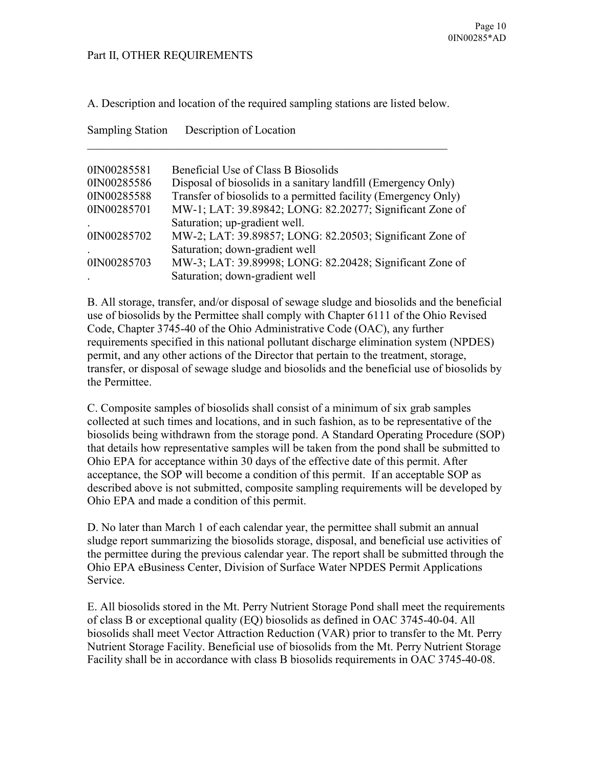# Part II, OTHER REQUIREMENTS

A. Description and location of the required sampling stations are listed below.

| <b>Sampling Station</b> | Description of Location                                        |
|-------------------------|----------------------------------------------------------------|
| 0IN00285581             | Beneficial Use of Class B Biosolids                            |
| 0IN00285586             | Disposal of biosolids in a sanitary landfill (Emergency Only)  |
| 0IN00285588             | Transfer of biosolids to a permitted facility (Emergency Only) |
| 0IN00285701             | MW-1; LAT: 39.89842; LONG: 82.20277; Significant Zone of       |
|                         | Saturation; up-gradient well.                                  |
| 0IN00285702             | MW-2; LAT: 39.89857; LONG: 82.20503; Significant Zone of       |
|                         | Saturation; down-gradient well                                 |
| 0IN00285703             | MW-3; LAT: 39.89998; LONG: 82.20428; Significant Zone of       |
|                         | Saturation; down-gradient well                                 |

B. All storage, transfer, and/or disposal of sewage sludge and biosolids and the beneficial use of biosolids by the Permittee shall comply with Chapter 6111 of the Ohio Revised Code, Chapter 3745-40 of the Ohio Administrative Code (OAC), any further requirements specified in this national pollutant discharge elimination system (NPDES) permit, and any other actions of the Director that pertain to the treatment, storage, transfer, or disposal of sewage sludge and biosolids and the beneficial use of biosolids by the Permittee.

C. Composite samples of biosolids shall consist of a minimum of six grab samples collected at such times and locations, and in such fashion, as to be representative of the biosolids being withdrawn from the storage pond. A Standard Operating Procedure (SOP) that details how representative samples will be taken from the pond shall be submitted to Ohio EPA for acceptance within 30 days of the effective date of this permit. After acceptance, the SOP will become a condition of this permit. If an acceptable SOP as described above is not submitted, composite sampling requirements will be developed by Ohio EPA and made a condition of this permit.

D. No later than March 1 of each calendar year, the permittee shall submit an annual sludge report summarizing the biosolids storage, disposal, and beneficial use activities of the permittee during the previous calendar year. The report shall be submitted through the Ohio EPA eBusiness Center, Division of Surface Water NPDES Permit Applications Service.

E. All biosolids stored in the Mt. Perry Nutrient Storage Pond shall meet the requirements of class B or exceptional quality (EQ) biosolids as defined in OAC 3745-40-04. All biosolids shall meet Vector Attraction Reduction (VAR) prior to transfer to the Mt. Perry Nutrient Storage Facility. Beneficial use of biosolids from the Mt. Perry Nutrient Storage Facility shall be in accordance with class B biosolids requirements in OAC 3745-40-08.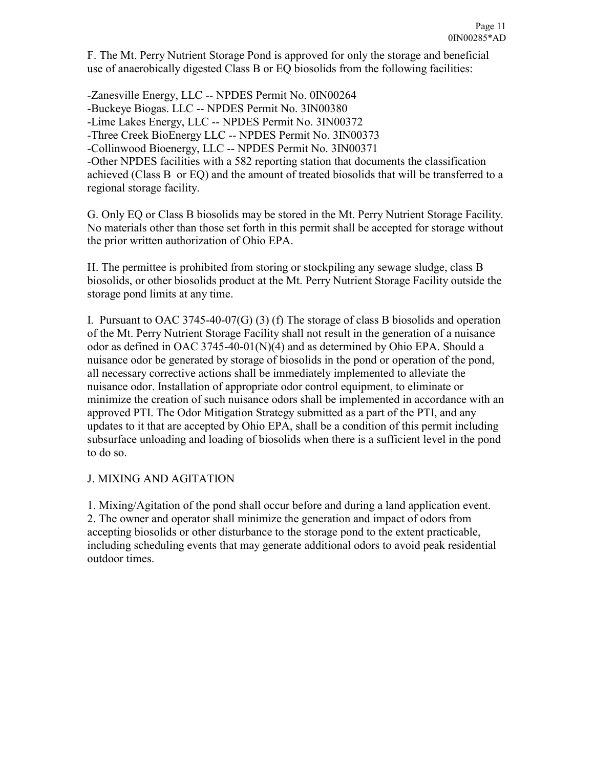F. The Mt. Perry Nutrient Storage Pond is approved for only the storage and beneficial use of anaerobically digested Class B or EQ biosolids from the following facilities:

-Zanesville Energy, LLC -- NPDES Permit No. 0IN00264 -Buckeye Biogas. LLC -- NPDES Permit No. 3IN00380 -Lime Lakes Energy, LLC -- NPDES Permit No. 3IN00372 -Three Creek BioEnergy LLC -- NPDES Permit No. 3IN00373 -Collinwood Bioenergy, LLC -- NPDES Permit No. 3IN00371 -Other NPDES facilities with a 582 reporting station that documents the classification achieved (Class B or EQ) and the amount of treated biosolids that will be transferred to a regional storage facility.

G. Only EQ or Class B biosolids may be stored in the Mt. Perry Nutrient Storage Facility. No materials other than those set forth in this permit shall be accepted for storage without the prior written authorization of Ohio EPA.

H. The permittee is prohibited from storing or stockpiling any sewage sludge, class B biosolids, or other biosolids product at the Mt. Perry Nutrient Storage Facility outside the storage pond limits at any time.

I. Pursuant to OAC 3745-40-07(G) (3) (f) The storage of class B biosolids and operation of the Mt. Perry Nutrient Storage Facility shall not result in the generation of a nuisance odor as defined in OAC 3745-40-01(N)(4) and as determined by Ohio EPA. Should a nuisance odor be generated by storage of biosolids in the pond or operation of the pond, all necessary corrective actions shall be immediately implemented to alleviate the nuisance odor. Installation of appropriate odor control equipment, to eliminate or minimize the creation of such nuisance odors shall be implemented in accordance with an approved PTI. The Odor Mitigation Strategy submitted as a part of the PTI, and any updates to it that are accepted by Ohio EPA, shall be a condition of this permit including subsurface unloading and loading of biosolids when there is a sufficient level in the pond to do so.

# J. MIXING AND AGITATION

1. Mixing/Agitation of the pond shall occur before and during a land application event. 2. The owner and operator shall minimize the generation and impact of odors from accepting biosolids or other disturbance to the storage pond to the extent practicable, including scheduling events that may generate additional odors to avoid peak residential outdoor times.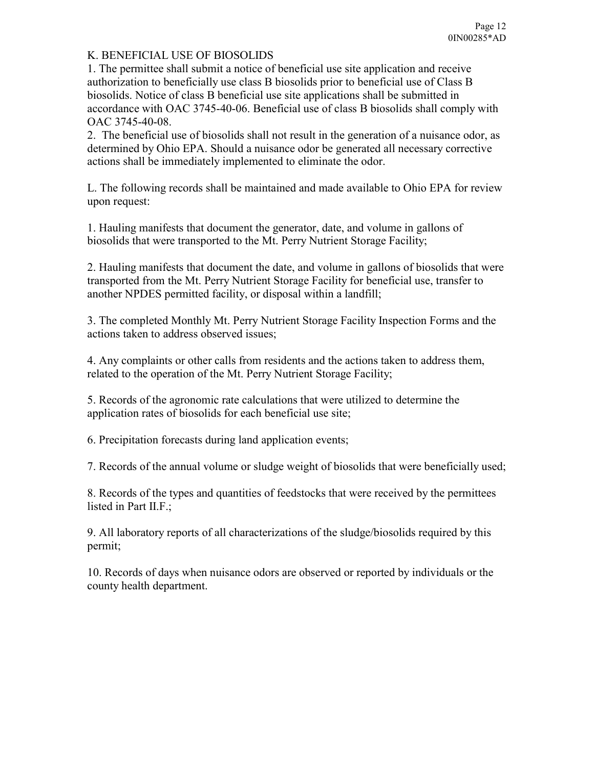# K. BENEFICIAL USE OF BIOSOLIDS

1. The permittee shall submit a notice of beneficial use site application and receive authorization to beneficially use class B biosolids prior to beneficial use of Class B biosolids. Notice of class B beneficial use site applications shall be submitted in accordance with OAC 3745-40-06. Beneficial use of class B biosolids shall comply with OAC 3745-40-08.

2. The beneficial use of biosolids shall not result in the generation of a nuisance odor, as determined by Ohio EPA. Should a nuisance odor be generated all necessary corrective actions shall be immediately implemented to eliminate the odor.

L. The following records shall be maintained and made available to Ohio EPA for review upon request:

1. Hauling manifests that document the generator, date, and volume in gallons of biosolids that were transported to the Mt. Perry Nutrient Storage Facility;

2. Hauling manifests that document the date, and volume in gallons of biosolids that were transported from the Mt. Perry Nutrient Storage Facility for beneficial use, transfer to another NPDES permitted facility, or disposal within a landfill;

3. The completed Monthly Mt. Perry Nutrient Storage Facility Inspection Forms and the actions taken to address observed issues;

4. Any complaints or other calls from residents and the actions taken to address them, related to the operation of the Mt. Perry Nutrient Storage Facility;

5. Records of the agronomic rate calculations that were utilized to determine the application rates of biosolids for each beneficial use site;

6. Precipitation forecasts during land application events;

7. Records of the annual volume or sludge weight of biosolids that were beneficially used;

8. Records of the types and quantities of feedstocks that were received by the permittees listed in Part II.F.;

9. All laboratory reports of all characterizations of the sludge/biosolids required by this permit;

10. Records of days when nuisance odors are observed or reported by individuals or the county health department.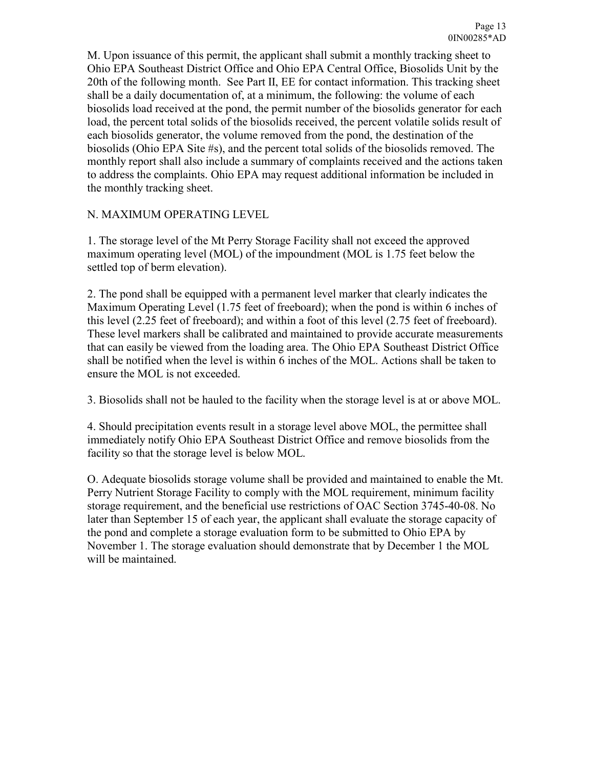M. Upon issuance of this permit, the applicant shall submit a monthly tracking sheet to Ohio EPA Southeast District Office and Ohio EPA Central Office, Biosolids Unit by the 20th of the following month. See Part II, EE for contact information. This tracking sheet shall be a daily documentation of, at a minimum, the following: the volume of each biosolids load received at the pond, the permit number of the biosolids generator for each load, the percent total solids of the biosolids received, the percent volatile solids result of each biosolids generator, the volume removed from the pond, the destination of the biosolids (Ohio EPA Site #s), and the percent total solids of the biosolids removed. The monthly report shall also include a summary of complaints received and the actions taken to address the complaints. Ohio EPA may request additional information be included in the monthly tracking sheet.

# N. MAXIMUM OPERATING LEVEL

1. The storage level of the Mt Perry Storage Facility shall not exceed the approved maximum operating level (MOL) of the impoundment (MOL is 1.75 feet below the settled top of berm elevation).

2. The pond shall be equipped with a permanent level marker that clearly indicates the Maximum Operating Level (1.75 feet of freeboard); when the pond is within 6 inches of this level (2.25 feet of freeboard); and within a foot of this level (2.75 feet of freeboard). These level markers shall be calibrated and maintained to provide accurate measurements that can easily be viewed from the loading area. The Ohio EPA Southeast District Office shall be notified when the level is within 6 inches of the MOL. Actions shall be taken to ensure the MOL is not exceeded.

3. Biosolids shall not be hauled to the facility when the storage level is at or above MOL.

4. Should precipitation events result in a storage level above MOL, the permittee shall immediately notify Ohio EPA Southeast District Office and remove biosolids from the facility so that the storage level is below MOL.

O. Adequate biosolids storage volume shall be provided and maintained to enable the Mt. Perry Nutrient Storage Facility to comply with the MOL requirement, minimum facility storage requirement, and the beneficial use restrictions of OAC Section 3745-40-08. No later than September 15 of each year, the applicant shall evaluate the storage capacity of the pond and complete a storage evaluation form to be submitted to Ohio EPA by November 1. The storage evaluation should demonstrate that by December 1 the MOL will be maintained.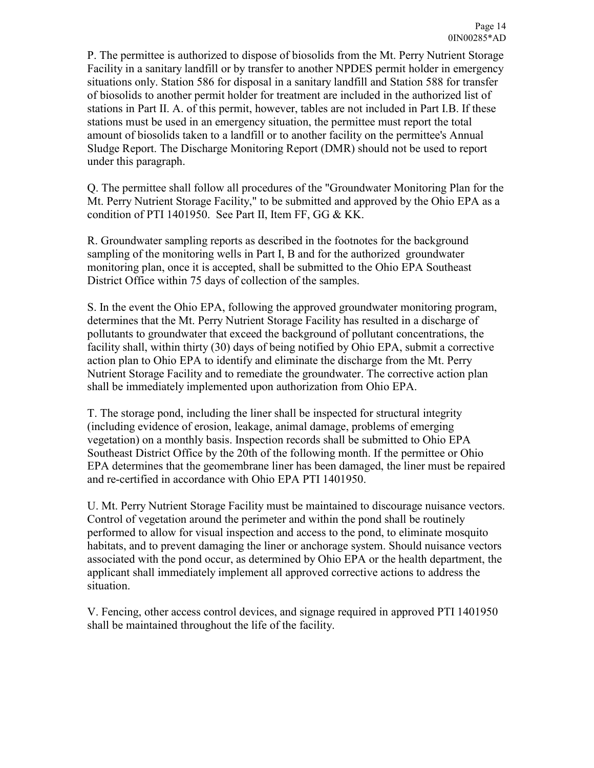P. The permittee is authorized to dispose of biosolids from the Mt. Perry Nutrient Storage Facility in a sanitary landfill or by transfer to another NPDES permit holder in emergency situations only. Station 586 for disposal in a sanitary landfill and Station 588 for transfer of biosolids to another permit holder for treatment are included in the authorized list of stations in Part II. A. of this permit, however, tables are not included in Part I.B. If these stations must be used in an emergency situation, the permittee must report the total amount of biosolids taken to a landfill or to another facility on the permittee's Annual Sludge Report. The Discharge Monitoring Report (DMR) should not be used to report under this paragraph.

Q. The permittee shall follow all procedures of the "Groundwater Monitoring Plan for the Mt. Perry Nutrient Storage Facility," to be submitted and approved by the Ohio EPA as a condition of PTI 1401950. See Part II, Item FF, GG & KK.

R. Groundwater sampling reports as described in the footnotes for the background sampling of the monitoring wells in Part I, B and for the authorized groundwater monitoring plan, once it is accepted, shall be submitted to the Ohio EPA Southeast District Office within 75 days of collection of the samples.

S. In the event the Ohio EPA, following the approved groundwater monitoring program, determines that the Mt. Perry Nutrient Storage Facility has resulted in a discharge of pollutants to groundwater that exceed the background of pollutant concentrations, the facility shall, within thirty (30) days of being notified by Ohio EPA, submit a corrective action plan to Ohio EPA to identify and eliminate the discharge from the Mt. Perry Nutrient Storage Facility and to remediate the groundwater. The corrective action plan shall be immediately implemented upon authorization from Ohio EPA.

T. The storage pond, including the liner shall be inspected for structural integrity (including evidence of erosion, leakage, animal damage, problems of emerging vegetation) on a monthly basis. Inspection records shall be submitted to Ohio EPA Southeast District Office by the 20th of the following month. If the permittee or Ohio EPA determines that the geomembrane liner has been damaged, the liner must be repaired and re-certified in accordance with Ohio EPA PTI 1401950.

U. Mt. Perry Nutrient Storage Facility must be maintained to discourage nuisance vectors. Control of vegetation around the perimeter and within the pond shall be routinely performed to allow for visual inspection and access to the pond, to eliminate mosquito habitats, and to prevent damaging the liner or anchorage system. Should nuisance vectors associated with the pond occur, as determined by Ohio EPA or the health department, the applicant shall immediately implement all approved corrective actions to address the situation.

V. Fencing, other access control devices, and signage required in approved PTI 1401950 shall be maintained throughout the life of the facility.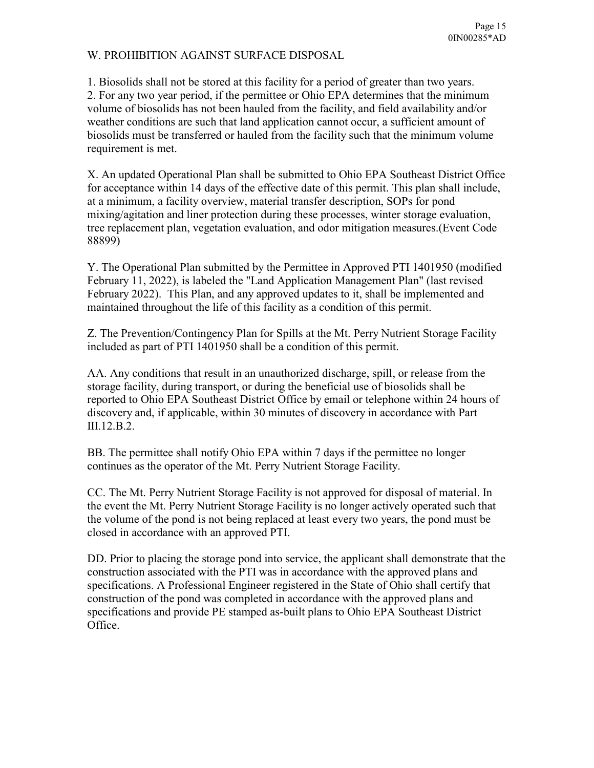# W. PROHIBITION AGAINST SURFACE DISPOSAL

1. Biosolids shall not be stored at this facility for a period of greater than two years. 2. For any two year period, if the permittee or Ohio EPA determines that the minimum volume of biosolids has not been hauled from the facility, and field availability and/or weather conditions are such that land application cannot occur, a sufficient amount of biosolids must be transferred or hauled from the facility such that the minimum volume requirement is met.

X. An updated Operational Plan shall be submitted to Ohio EPA Southeast District Office for acceptance within 14 days of the effective date of this permit. This plan shall include, at a minimum, a facility overview, material transfer description, SOPs for pond mixing/agitation and liner protection during these processes, winter storage evaluation, tree replacement plan, vegetation evaluation, and odor mitigation measures.(Event Code 88899)

Y. The Operational Plan submitted by the Permittee in Approved PTI 1401950 (modified February 11, 2022), is labeled the "Land Application Management Plan" (last revised February 2022). This Plan, and any approved updates to it, shall be implemented and maintained throughout the life of this facility as a condition of this permit.

Z. The Prevention/Contingency Plan for Spills at the Mt. Perry Nutrient Storage Facility included as part of PTI 1401950 shall be a condition of this permit.

AA. Any conditions that result in an unauthorized discharge, spill, or release from the storage facility, during transport, or during the beneficial use of biosolids shall be reported to Ohio EPA Southeast District Office by email or telephone within 24 hours of discovery and, if applicable, within 30 minutes of discovery in accordance with Part III.12.B.2.

BB. The permittee shall notify Ohio EPA within 7 days if the permittee no longer continues as the operator of the Mt. Perry Nutrient Storage Facility.

CC. The Mt. Perry Nutrient Storage Facility is not approved for disposal of material. In the event the Mt. Perry Nutrient Storage Facility is no longer actively operated such that the volume of the pond is not being replaced at least every two years, the pond must be closed in accordance with an approved PTI.

DD. Prior to placing the storage pond into service, the applicant shall demonstrate that the construction associated with the PTI was in accordance with the approved plans and specifications. A Professional Engineer registered in the State of Ohio shall certify that construction of the pond was completed in accordance with the approved plans and specifications and provide PE stamped as-built plans to Ohio EPA Southeast District Office.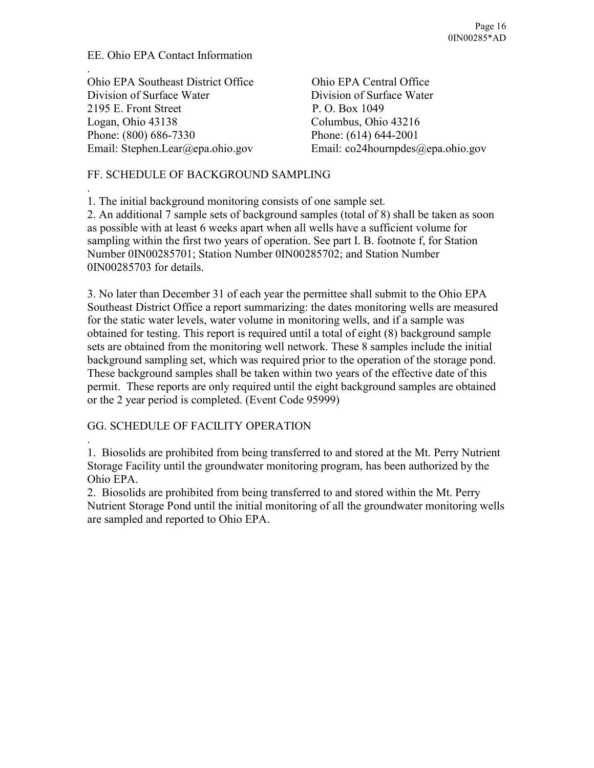# EE. Ohio EPA Contact Information

.

.

.

Ohio EPA Southeast District Office Ohio EPA Central Office Division of Surface Water Division of Surface Water 2195 E. Front Street P. O. Box 1049 Logan, Ohio 43138 Columbus, Ohio 43216 Phone: (800) 686-7330 Phone: (614) 644-2001

Email: Stephen.Lear@epa.ohio.gov Email: co24hournpdes@epa.ohio.gov

# FF. SCHEDULE OF BACKGROUND SAMPLING

1. The initial background monitoring consists of one sample set.

2. An additional 7 sample sets of background samples (total of 8) shall be taken as soon as possible with at least 6 weeks apart when all wells have a sufficient volume for sampling within the first two years of operation. See part I. B. footnote f, for Station Number 0IN00285701; Station Number 0IN00285702; and Station Number 0IN00285703 for details.

3. No later than December 31 of each year the permittee shall submit to the Ohio EPA Southeast District Office a report summarizing: the dates monitoring wells are measured for the static water levels, water volume in monitoring wells, and if a sample was obtained for testing. This report is required until a total of eight (8) background sample sets are obtained from the monitoring well network. These 8 samples include the initial background sampling set, which was required prior to the operation of the storage pond. These background samples shall be taken within two years of the effective date of this permit. These reports are only required until the eight background samples are obtained or the 2 year period is completed. (Event Code 95999)

# GG. SCHEDULE OF FACILITY OPERATION

1. Biosolids are prohibited from being transferred to and stored at the Mt. Perry Nutrient Storage Facility until the groundwater monitoring program, has been authorized by the Ohio EPA.

2. Biosolids are prohibited from being transferred to and stored within the Mt. Perry Nutrient Storage Pond until the initial monitoring of all the groundwater monitoring wells are sampled and reported to Ohio EPA.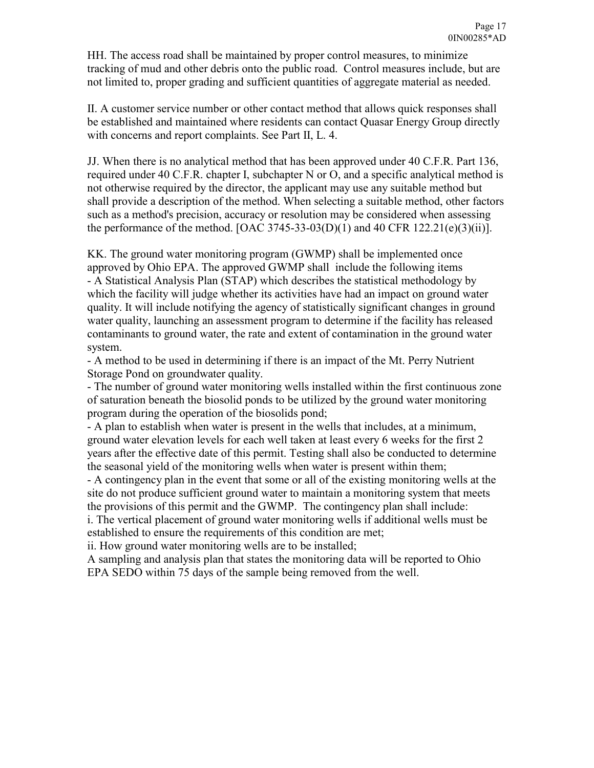HH. The access road shall be maintained by proper control measures, to minimize tracking of mud and other debris onto the public road. Control measures include, but are not limited to, proper grading and sufficient quantities of aggregate material as needed.

II. A customer service number or other contact method that allows quick responses shall be established and maintained where residents can contact Quasar Energy Group directly with concerns and report complaints. See Part II, L. 4.

JJ. When there is no analytical method that has been approved under 40 C.F.R. Part 136, required under 40 C.F.R. chapter I, subchapter N or O, and a specific analytical method is not otherwise required by the director, the applicant may use any suitable method but shall provide a description of the method. When selecting a suitable method, other factors such as a method's precision, accuracy or resolution may be considered when assessing the performance of the method. [OAC 3745-33-03(D)(1) and 40 CFR 122.21(e)(3)(ii)].

KK. The ground water monitoring program (GWMP) shall be implemented once approved by Ohio EPA. The approved GWMP shall include the following items - A Statistical Analysis Plan (STAP) which describes the statistical methodology by which the facility will judge whether its activities have had an impact on ground water quality. It will include notifying the agency of statistically significant changes in ground water quality, launching an assessment program to determine if the facility has released contaminants to ground water, the rate and extent of contamination in the ground water system.

- A method to be used in determining if there is an impact of the Mt. Perry Nutrient Storage Pond on groundwater quality.

- The number of ground water monitoring wells installed within the first continuous zone of saturation beneath the biosolid ponds to be utilized by the ground water monitoring program during the operation of the biosolids pond;

- A plan to establish when water is present in the wells that includes, at a minimum, ground water elevation levels for each well taken at least every 6 weeks for the first 2 years after the effective date of this permit. Testing shall also be conducted to determine the seasonal yield of the monitoring wells when water is present within them;

- A contingency plan in the event that some or all of the existing monitoring wells at the site do not produce sufficient ground water to maintain a monitoring system that meets the provisions of this permit and the GWMP. The contingency plan shall include:

i. The vertical placement of ground water monitoring wells if additional wells must be established to ensure the requirements of this condition are met;

ii. How ground water monitoring wells are to be installed;

A sampling and analysis plan that states the monitoring data will be reported to Ohio EPA SEDO within 75 days of the sample being removed from the well.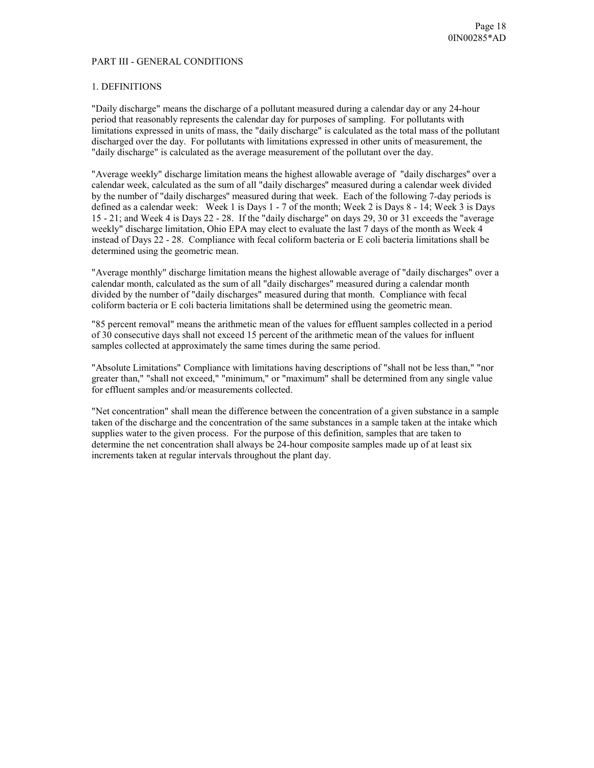#### PART III - GENERAL CONDITIONS

#### 1. DEFINITIONS

"Daily discharge" means the discharge of a pollutant measured during a calendar day or any 24-hour period that reasonably represents the calendar day for purposes of sampling. For pollutants with limitations expressed in units of mass, the "daily discharge" is calculated as the total mass of the pollutant discharged over the day. For pollutants with limitations expressed in other units of measurement, the "daily discharge" is calculated as the average measurement of the pollutant over the day.

"Average weekly" discharge limitation means the highest allowable average of "daily discharges'' over a calendar week, calculated as the sum of all "daily discharges'' measured during a calendar week divided by the number of "daily discharges'' measured during that week. Each of the following 7-day periods is defined as a calendar week: Week 1 is Days 1 - 7 of the month; Week 2 is Days 8 - 14; Week 3 is Days 15 - 21; and Week 4 is Days 22 - 28. If the "daily discharge" on days 29, 30 or 31 exceeds the "average weekly" discharge limitation, Ohio EPA may elect to evaluate the last 7 days of the month as Week 4 instead of Days 22 - 28. Compliance with fecal coliform bacteria or E coli bacteria limitations shall be determined using the geometric mean.

"Average monthly" discharge limitation means the highest allowable average of "daily discharges" over a calendar month, calculated as the sum of all "daily discharges" measured during a calendar month divided by the number of "daily discharges" measured during that month. Compliance with fecal coliform bacteria or E coli bacteria limitations shall be determined using the geometric mean.

"85 percent removal" means the arithmetic mean of the values for effluent samples collected in a period of 30 consecutive days shall not exceed 15 percent of the arithmetic mean of the values for influent samples collected at approximately the same times during the same period.

"Absolute Limitations" Compliance with limitations having descriptions of "shall not be less than," "nor greater than," "shall not exceed," "minimum," or "maximum" shall be determined from any single value for effluent samples and/or measurements collected.

"Net concentration" shall mean the difference between the concentration of a given substance in a sample taken of the discharge and the concentration of the same substances in a sample taken at the intake which supplies water to the given process. For the purpose of this definition, samples that are taken to determine the net concentration shall always be 24-hour composite samples made up of at least six increments taken at regular intervals throughout the plant day.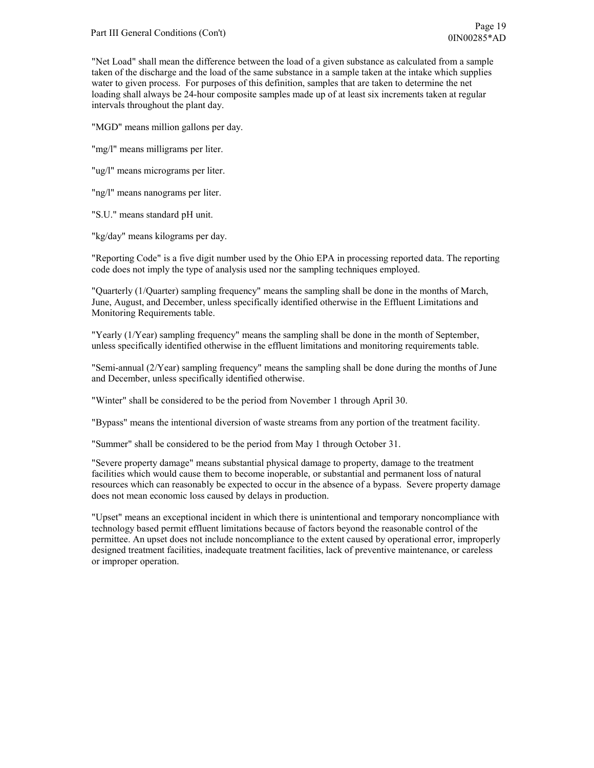"Net Load" shall mean the difference between the load of a given substance as calculated from a sample taken of the discharge and the load of the same substance in a sample taken at the intake which supplies water to given process. For purposes of this definition, samples that are taken to determine the net loading shall always be 24-hour composite samples made up of at least six increments taken at regular intervals throughout the plant day.

"MGD" means million gallons per day.

"mg/l" means milligrams per liter.

"ug/l" means micrograms per liter.

"ng/l" means nanograms per liter.

"S.U." means standard pH unit.

"kg/day" means kilograms per day.

"Reporting Code" is a five digit number used by the Ohio EPA in processing reported data. The reporting code does not imply the type of analysis used nor the sampling techniques employed.

"Quarterly (1/Quarter) sampling frequency" means the sampling shall be done in the months of March, June, August, and December, unless specifically identified otherwise in the Effluent Limitations and Monitoring Requirements table.

"Yearly (1/Year) sampling frequency" means the sampling shall be done in the month of September, unless specifically identified otherwise in the effluent limitations and monitoring requirements table.

"Semi-annual (2/Year) sampling frequency" means the sampling shall be done during the months of June and December, unless specifically identified otherwise.

"Winter" shall be considered to be the period from November 1 through April 30.

"Bypass" means the intentional diversion of waste streams from any portion of the treatment facility.

"Summer" shall be considered to be the period from May 1 through October 31.

"Severe property damage" means substantial physical damage to property, damage to the treatment facilities which would cause them to become inoperable, or substantial and permanent loss of natural resources which can reasonably be expected to occur in the absence of a bypass. Severe property damage does not mean economic loss caused by delays in production.

"Upset" means an exceptional incident in which there is unintentional and temporary noncompliance with technology based permit effluent limitations because of factors beyond the reasonable control of the permittee. An upset does not include noncompliance to the extent caused by operational error, improperly designed treatment facilities, inadequate treatment facilities, lack of preventive maintenance, or careless or improper operation.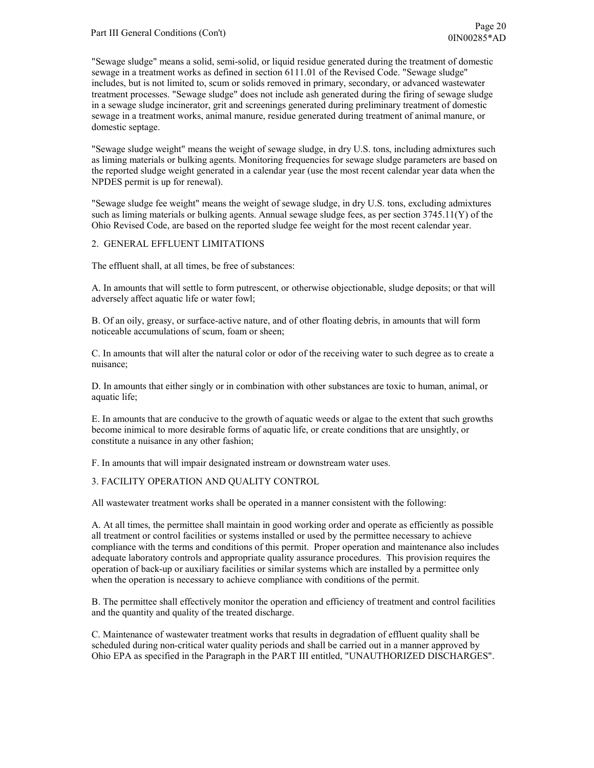"Sewage sludge" means a solid, semi-solid, or liquid residue generated during the treatment of domestic sewage in a treatment works as defined in section 6111.01 of the Revised Code. "Sewage sludge" includes, but is not limited to, scum or solids removed in primary, secondary, or advanced wastewater treatment processes. "Sewage sludge" does not include ash generated during the firing of sewage sludge in a sewage sludge incinerator, grit and screenings generated during preliminary treatment of domestic sewage in a treatment works, animal manure, residue generated during treatment of animal manure, or domestic septage.

"Sewage sludge weight" means the weight of sewage sludge, in dry U.S. tons, including admixtures such as liming materials or bulking agents. Monitoring frequencies for sewage sludge parameters are based on the reported sludge weight generated in a calendar year (use the most recent calendar year data when the NPDES permit is up for renewal).

"Sewage sludge fee weight" means the weight of sewage sludge, in dry U.S. tons, excluding admixtures such as liming materials or bulking agents. Annual sewage sludge fees, as per section 3745.11(Y) of the Ohio Revised Code, are based on the reported sludge fee weight for the most recent calendar year.

### 2. GENERAL EFFLUENT LIMITATIONS

The effluent shall, at all times, be free of substances:

A. In amounts that will settle to form putrescent, or otherwise objectionable, sludge deposits; or that will adversely affect aquatic life or water fowl;

B. Of an oily, greasy, or surface-active nature, and of other floating debris, in amounts that will form noticeable accumulations of scum, foam or sheen;

C. In amounts that will alter the natural color or odor of the receiving water to such degree as to create a nuisance;

D. In amounts that either singly or in combination with other substances are toxic to human, animal, or aquatic life;

E. In amounts that are conducive to the growth of aquatic weeds or algae to the extent that such growths become inimical to more desirable forms of aquatic life, or create conditions that are unsightly, or constitute a nuisance in any other fashion;

F. In amounts that will impair designated instream or downstream water uses.

#### 3. FACILITY OPERATION AND QUALITY CONTROL

All wastewater treatment works shall be operated in a manner consistent with the following:

A. At all times, the permittee shall maintain in good working order and operate as efficiently as possible all treatment or control facilities or systems installed or used by the permittee necessary to achieve compliance with the terms and conditions of this permit. Proper operation and maintenance also includes adequate laboratory controls and appropriate quality assurance procedures. This provision requires the operation of back-up or auxiliary facilities or similar systems which are installed by a permittee only when the operation is necessary to achieve compliance with conditions of the permit.

B. The permittee shall effectively monitor the operation and efficiency of treatment and control facilities and the quantity and quality of the treated discharge.

C. Maintenance of wastewater treatment works that results in degradation of effluent quality shall be scheduled during non-critical water quality periods and shall be carried out in a manner approved by Ohio EPA as specified in the Paragraph in the PART III entitled, "UNAUTHORIZED DISCHARGES".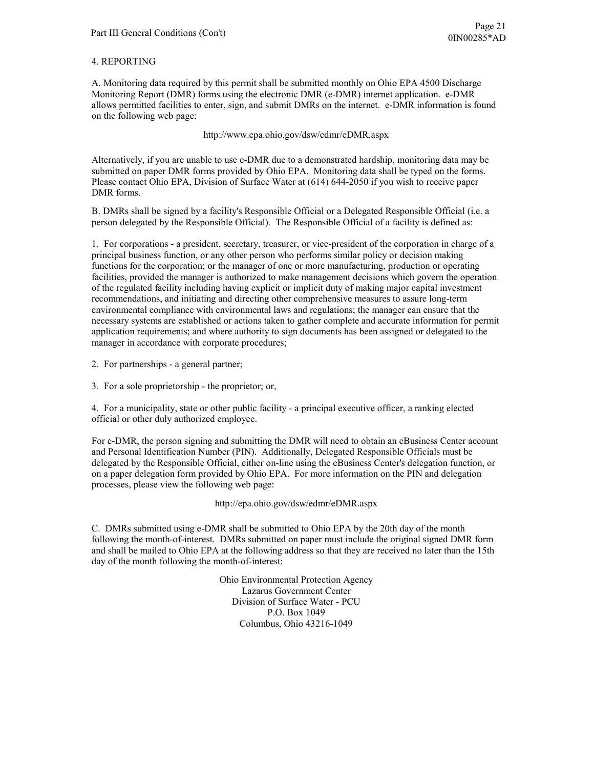### 4. REPORTING

A. Monitoring data required by this permit shall be submitted monthly on Ohio EPA 4500 Discharge Monitoring Report (DMR) forms using the electronic DMR (e-DMR) internet application. e-DMR allows permitted facilities to enter, sign, and submit DMRs on the internet. e-DMR information is found on the following web page:

http://www.epa.ohio.gov/dsw/edmr/eDMR.aspx

Alternatively, if you are unable to use e-DMR due to a demonstrated hardship, monitoring data may be submitted on paper DMR forms provided by Ohio EPA. Monitoring data shall be typed on the forms. Please contact Ohio EPA, Division of Surface Water at (614) 644-2050 if you wish to receive paper DMR forms.

B. DMRs shall be signed by a facility's Responsible Official or a Delegated Responsible Official (i.e. a person delegated by the Responsible Official). The Responsible Official of a facility is defined as:

1. For corporations - a president, secretary, treasurer, or vice-president of the corporation in charge of a principal business function, or any other person who performs similar policy or decision making functions for the corporation; or the manager of one or more manufacturing, production or operating facilities, provided the manager is authorized to make management decisions which govern the operation of the regulated facility including having explicit or implicit duty of making major capital investment recommendations, and initiating and directing other comprehensive measures to assure long-term environmental compliance with environmental laws and regulations; the manager can ensure that the necessary systems are established or actions taken to gather complete and accurate information for permit application requirements; and where authority to sign documents has been assigned or delegated to the manager in accordance with corporate procedures;

2. For partnerships - a general partner;

3. For a sole proprietorship - the proprietor; or,

4. For a municipality, state or other public facility - a principal executive officer, a ranking elected official or other duly authorized employee.

For e-DMR, the person signing and submitting the DMR will need to obtain an eBusiness Center account and Personal Identification Number (PIN). Additionally, Delegated Responsible Officials must be delegated by the Responsible Official, either on-line using the eBusiness Center's delegation function, or on a paper delegation form provided by Ohio EPA. For more information on the PIN and delegation processes, please view the following web page:

http://epa.ohio.gov/dsw/edmr/eDMR.aspx

C. DMRs submitted using e-DMR shall be submitted to Ohio EPA by the 20th day of the month following the month-of-interest. DMRs submitted on paper must include the original signed DMR form and shall be mailed to Ohio EPA at the following address so that they are received no later than the 15th day of the month following the month-of-interest:

> Ohio Environmental Protection Agency Lazarus Government Center Division of Surface Water - PCU P.O. Box 1049 Columbus, Ohio 43216-1049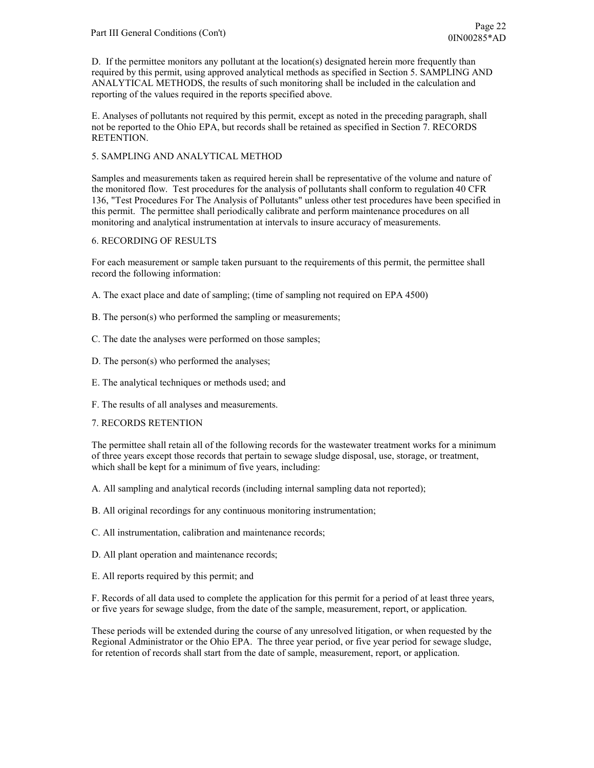D. If the permittee monitors any pollutant at the location(s) designated herein more frequently than required by this permit, using approved analytical methods as specified in Section 5. SAMPLING AND ANALYTICAL METHODS, the results of such monitoring shall be included in the calculation and reporting of the values required in the reports specified above.

E. Analyses of pollutants not required by this permit, except as noted in the preceding paragraph, shall not be reported to the Ohio EPA, but records shall be retained as specified in Section 7. RECORDS RETENTION.

# 5. SAMPLING AND ANALYTICAL METHOD

Samples and measurements taken as required herein shall be representative of the volume and nature of the monitored flow. Test procedures for the analysis of pollutants shall conform to regulation 40 CFR 136, "Test Procedures For The Analysis of Pollutants" unless other test procedures have been specified in this permit. The permittee shall periodically calibrate and perform maintenance procedures on all monitoring and analytical instrumentation at intervals to insure accuracy of measurements.

## 6. RECORDING OF RESULTS

For each measurement or sample taken pursuant to the requirements of this permit, the permittee shall record the following information:

A. The exact place and date of sampling; (time of sampling not required on EPA 4500)

- B. The person(s) who performed the sampling or measurements;
- C. The date the analyses were performed on those samples;
- D. The person(s) who performed the analyses;
- E. The analytical techniques or methods used; and
- F. The results of all analyses and measurements.

## 7. RECORDS RETENTION

The permittee shall retain all of the following records for the wastewater treatment works for a minimum of three years except those records that pertain to sewage sludge disposal, use, storage, or treatment, which shall be kept for a minimum of five years, including:

A. All sampling and analytical records (including internal sampling data not reported);

B. All original recordings for any continuous monitoring instrumentation;

- C. All instrumentation, calibration and maintenance records;
- D. All plant operation and maintenance records;
- E. All reports required by this permit; and

F. Records of all data used to complete the application for this permit for a period of at least three years, or five years for sewage sludge, from the date of the sample, measurement, report, or application.

These periods will be extended during the course of any unresolved litigation, or when requested by the Regional Administrator or the Ohio EPA. The three year period, or five year period for sewage sludge, for retention of records shall start from the date of sample, measurement, report, or application.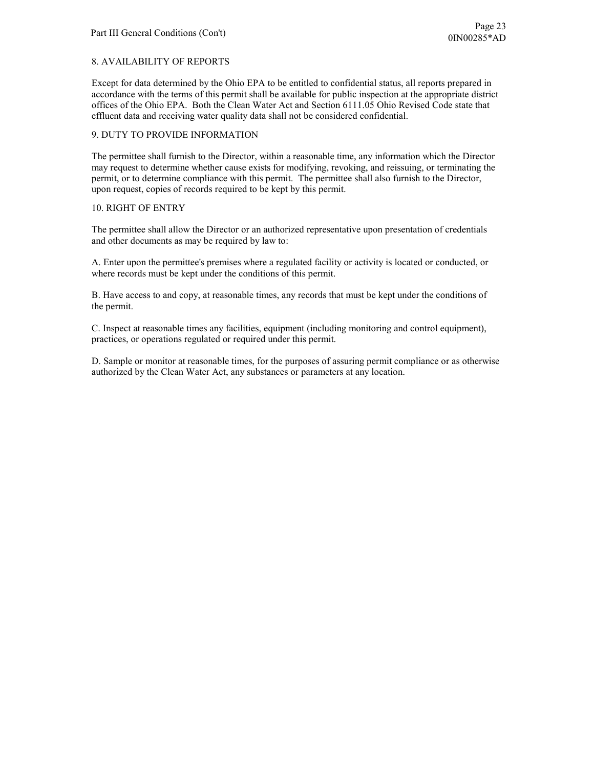# 8. AVAILABILITY OF REPORTS

Except for data determined by the Ohio EPA to be entitled to confidential status, all reports prepared in accordance with the terms of this permit shall be available for public inspection at the appropriate district offices of the Ohio EPA. Both the Clean Water Act and Section 6111.05 Ohio Revised Code state that effluent data and receiving water quality data shall not be considered confidential.

### 9. DUTY TO PROVIDE INFORMATION

The permittee shall furnish to the Director, within a reasonable time, any information which the Director may request to determine whether cause exists for modifying, revoking, and reissuing, or terminating the permit, or to determine compliance with this permit. The permittee shall also furnish to the Director, upon request, copies of records required to be kept by this permit.

## 10. RIGHT OF ENTRY

The permittee shall allow the Director or an authorized representative upon presentation of credentials and other documents as may be required by law to:

A. Enter upon the permittee's premises where a regulated facility or activity is located or conducted, or where records must be kept under the conditions of this permit.

B. Have access to and copy, at reasonable times, any records that must be kept under the conditions of the permit.

C. Inspect at reasonable times any facilities, equipment (including monitoring and control equipment), practices, or operations regulated or required under this permit.

D. Sample or monitor at reasonable times, for the purposes of assuring permit compliance or as otherwise authorized by the Clean Water Act, any substances or parameters at any location.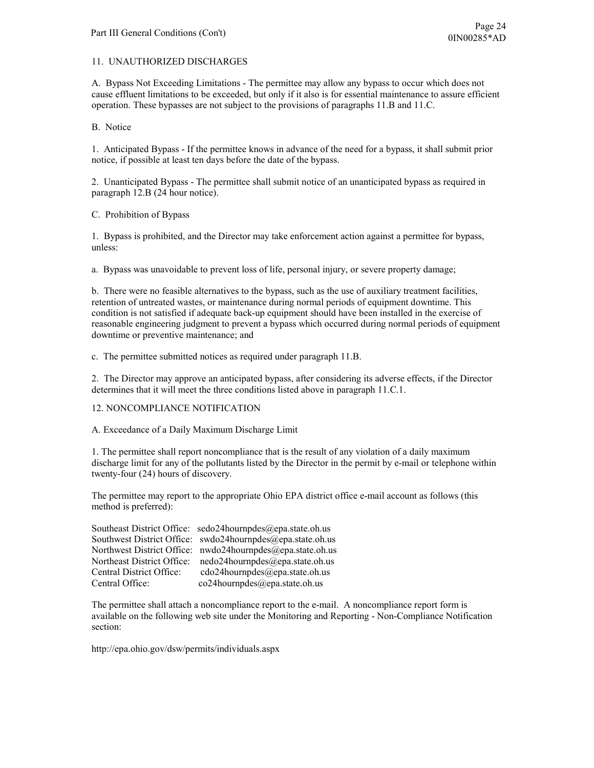### 11. UNAUTHORIZED DISCHARGES

A. Bypass Not Exceeding Limitations - The permittee may allow any bypass to occur which does not cause effluent limitations to be exceeded, but only if it also is for essential maintenance to assure efficient operation. These bypasses are not subject to the provisions of paragraphs 11.B and 11.C.

B. Notice

1. Anticipated Bypass - If the permittee knows in advance of the need for a bypass, it shall submit prior notice, if possible at least ten days before the date of the bypass.

2. Unanticipated Bypass - The permittee shall submit notice of an unanticipated bypass as required in paragraph 12.B (24 hour notice).

C. Prohibition of Bypass

1. Bypass is prohibited, and the Director may take enforcement action against a permittee for bypass, unless:

a. Bypass was unavoidable to prevent loss of life, personal injury, or severe property damage;

b. There were no feasible alternatives to the bypass, such as the use of auxiliary treatment facilities, retention of untreated wastes, or maintenance during normal periods of equipment downtime. This condition is not satisfied if adequate back-up equipment should have been installed in the exercise of reasonable engineering judgment to prevent a bypass which occurred during normal periods of equipment downtime or preventive maintenance; and

c. The permittee submitted notices as required under paragraph 11.B.

2. The Director may approve an anticipated bypass, after considering its adverse effects, if the Director determines that it will meet the three conditions listed above in paragraph 11.C.1.

## 12. NONCOMPLIANCE NOTIFICATION

A. Exceedance of a Daily Maximum Discharge Limit

1. The permittee shall report noncompliance that is the result of any violation of a daily maximum discharge limit for any of the pollutants listed by the Director in the permit by e-mail or telephone within twenty-four (24) hours of discovery.

The permittee may report to the appropriate Ohio EPA district office e-mail account as follows (this method is preferred):

|                            | Southeast District Office: sedo24hournpdes@epa.state.oh.us |
|----------------------------|------------------------------------------------------------|
|                            | Southwest District Office: swdo24hournpdes@epa.state.oh.us |
|                            | Northwest District Office: nwdo24hournpdes@epa.state.oh.us |
| Northeast District Office: | nedo24hournpdes@epa.state.oh.us                            |
| Central District Office:   | cdo24hournpdes@epa.state.oh.us                             |
| Central Office:            | co24hournpdes@epa.state.oh.us                              |

The permittee shall attach a noncompliance report to the e-mail. A noncompliance report form is available on the following web site under the Monitoring and Reporting - Non-Compliance Notification section:

http://epa.ohio.gov/dsw/permits/individuals.aspx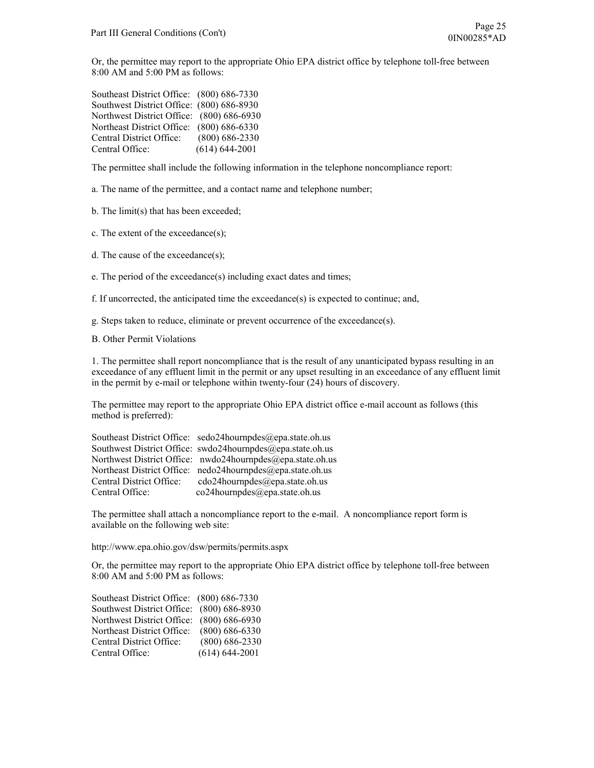Or, the permittee may report to the appropriate Ohio EPA district office by telephone toll-free between 8:00 AM and 5:00 PM as follows:

| Southeast District Office: (800) 686-7330 |                    |
|-------------------------------------------|--------------------|
| Southwest District Office: (800) 686-8930 |                    |
| Northwest District Office: (800) 686-6930 |                    |
| Northeast District Office: (800) 686-6330 |                    |
| Central District Office:                  | $(800) 686 - 2330$ |
| Central Office:                           | $(614) 644 - 2001$ |

The permittee shall include the following information in the telephone noncompliance report:

a. The name of the permittee, and a contact name and telephone number;

b. The limit(s) that has been exceeded;

c. The extent of the exceedance(s);

d. The cause of the exceedance(s);

e. The period of the exceedance(s) including exact dates and times;

f. If uncorrected, the anticipated time the exceedance(s) is expected to continue; and,

g. Steps taken to reduce, eliminate or prevent occurrence of the exceedance(s).

B. Other Permit Violations

1. The permittee shall report noncompliance that is the result of any unanticipated bypass resulting in an exceedance of any effluent limit in the permit or any upset resulting in an exceedance of any effluent limit in the permit by e-mail or telephone within twenty-four (24) hours of discovery.

The permittee may report to the appropriate Ohio EPA district office e-mail account as follows (this method is preferred):

|                          | Southeast District Office: sedo24hournpdes@epa.state.oh.us |
|--------------------------|------------------------------------------------------------|
|                          | Southwest District Office: swdo24hournpdes@epa.state.oh.us |
|                          | Northwest District Office: nwdo24hournpdes@epa.state.oh.us |
|                          | Northeast District Office: nedo24hournpdes@epa.state.oh.us |
| Central District Office: | cdo24hournpdes@epa.state.oh.us                             |
| Central Office:          | co24hournpdes@epa.state.oh.us                              |

The permittee shall attach a noncompliance report to the e-mail. A noncompliance report form is available on the following web site:

http://www.epa.ohio.gov/dsw/permits/permits.aspx

Or, the permittee may report to the appropriate Ohio EPA district office by telephone toll-free between 8:00 AM and 5:00 PM as follows:

| Southeast District Office: (800) 686-7330 |                    |
|-------------------------------------------|--------------------|
| Southwest District Office: (800) 686-8930 |                    |
| Northwest District Office: (800) 686-6930 |                    |
| Northeast District Office:                | $(800)$ 686-6330   |
| Central District Office:                  | $(800)$ 686-2330   |
| Central Office:                           | $(614) 644 - 2001$ |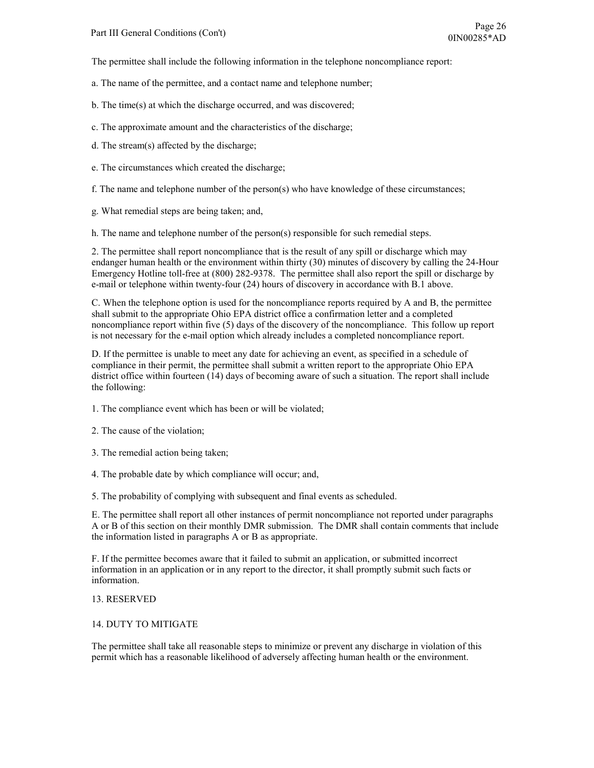The permittee shall include the following information in the telephone noncompliance report:

- a. The name of the permittee, and a contact name and telephone number;
- b. The time(s) at which the discharge occurred, and was discovered;
- c. The approximate amount and the characteristics of the discharge;
- d. The stream(s) affected by the discharge;
- e. The circumstances which created the discharge;
- f. The name and telephone number of the person(s) who have knowledge of these circumstances;
- g. What remedial steps are being taken; and,

h. The name and telephone number of the person(s) responsible for such remedial steps.

2. The permittee shall report noncompliance that is the result of any spill or discharge which may endanger human health or the environment within thirty (30) minutes of discovery by calling the 24-Hour Emergency Hotline toll-free at (800) 282-9378. The permittee shall also report the spill or discharge by e-mail or telephone within twenty-four (24) hours of discovery in accordance with B.1 above.

C. When the telephone option is used for the noncompliance reports required by A and B, the permittee shall submit to the appropriate Ohio EPA district office a confirmation letter and a completed noncompliance report within five (5) days of the discovery of the noncompliance. This follow up report is not necessary for the e-mail option which already includes a completed noncompliance report.

D. If the permittee is unable to meet any date for achieving an event, as specified in a schedule of compliance in their permit, the permittee shall submit a written report to the appropriate Ohio EPA district office within fourteen (14) days of becoming aware of such a situation. The report shall include the following:

- 1. The compliance event which has been or will be violated;
- 2. The cause of the violation;
- 3. The remedial action being taken;
- 4. The probable date by which compliance will occur; and,
- 5. The probability of complying with subsequent and final events as scheduled.

E. The permittee shall report all other instances of permit noncompliance not reported under paragraphs A or B of this section on their monthly DMR submission. The DMR shall contain comments that include the information listed in paragraphs A or B as appropriate.

F. If the permittee becomes aware that it failed to submit an application, or submitted incorrect information in an application or in any report to the director, it shall promptly submit such facts or information.

#### 13. RESERVED

#### 14. DUTY TO MITIGATE

The permittee shall take all reasonable steps to minimize or prevent any discharge in violation of this permit which has a reasonable likelihood of adversely affecting human health or the environment.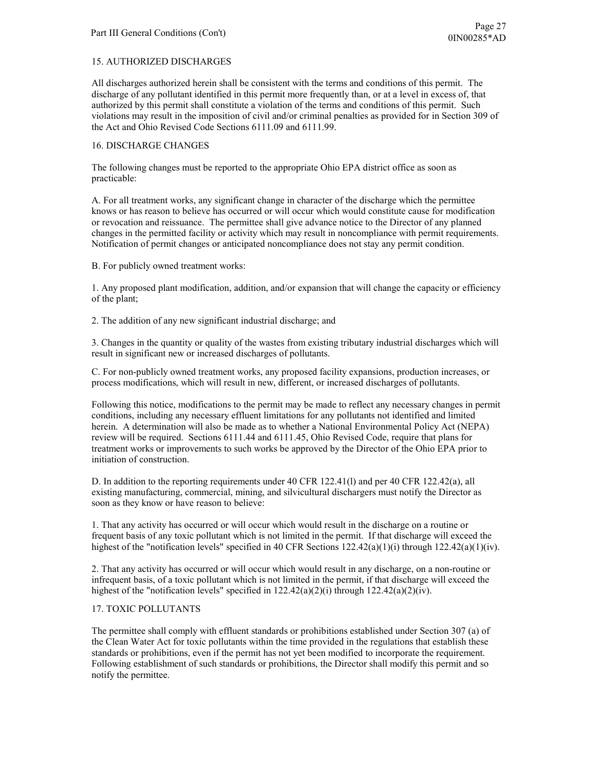### 15. AUTHORIZED DISCHARGES

All discharges authorized herein shall be consistent with the terms and conditions of this permit. The discharge of any pollutant identified in this permit more frequently than, or at a level in excess of, that authorized by this permit shall constitute a violation of the terms and conditions of this permit. Such violations may result in the imposition of civil and/or criminal penalties as provided for in Section 309 of the Act and Ohio Revised Code Sections 6111.09 and 6111.99.

#### 16. DISCHARGE CHANGES

The following changes must be reported to the appropriate Ohio EPA district office as soon as practicable:

A. For all treatment works, any significant change in character of the discharge which the permittee knows or has reason to believe has occurred or will occur which would constitute cause for modification or revocation and reissuance. The permittee shall give advance notice to the Director of any planned changes in the permitted facility or activity which may result in noncompliance with permit requirements. Notification of permit changes or anticipated noncompliance does not stay any permit condition.

B. For publicly owned treatment works:

1. Any proposed plant modification, addition, and/or expansion that will change the capacity or efficiency of the plant;

2. The addition of any new significant industrial discharge; and

3. Changes in the quantity or quality of the wastes from existing tributary industrial discharges which will result in significant new or increased discharges of pollutants.

C. For non-publicly owned treatment works, any proposed facility expansions, production increases, or process modifications, which will result in new, different, or increased discharges of pollutants.

Following this notice, modifications to the permit may be made to reflect any necessary changes in permit conditions, including any necessary effluent limitations for any pollutants not identified and limited herein. A determination will also be made as to whether a National Environmental Policy Act (NEPA) review will be required. Sections 6111.44 and 6111.45, Ohio Revised Code, require that plans for treatment works or improvements to such works be approved by the Director of the Ohio EPA prior to initiation of construction.

D. In addition to the reporting requirements under 40 CFR 122.41(l) and per 40 CFR 122.42(a), all existing manufacturing, commercial, mining, and silvicultural dischargers must notify the Director as soon as they know or have reason to believe:

1. That any activity has occurred or will occur which would result in the discharge on a routine or frequent basis of any toxic pollutant which is not limited in the permit. If that discharge will exceed the highest of the "notification levels" specified in 40 CFR Sections  $122.42(a)(1)(i)$  through  $122.42(a)(1)(iv)$ .

2. That any activity has occurred or will occur which would result in any discharge, on a non-routine or infrequent basis, of a toxic pollutant which is not limited in the permit, if that discharge will exceed the highest of the "notification levels" specified in  $122.42(a)(2)(i)$  through  $122.42(a)(2)(iv)$ .

## 17. TOXIC POLLUTANTS

The permittee shall comply with effluent standards or prohibitions established under Section 307 (a) of the Clean Water Act for toxic pollutants within the time provided in the regulations that establish these standards or prohibitions, even if the permit has not yet been modified to incorporate the requirement. Following establishment of such standards or prohibitions, the Director shall modify this permit and so notify the permittee.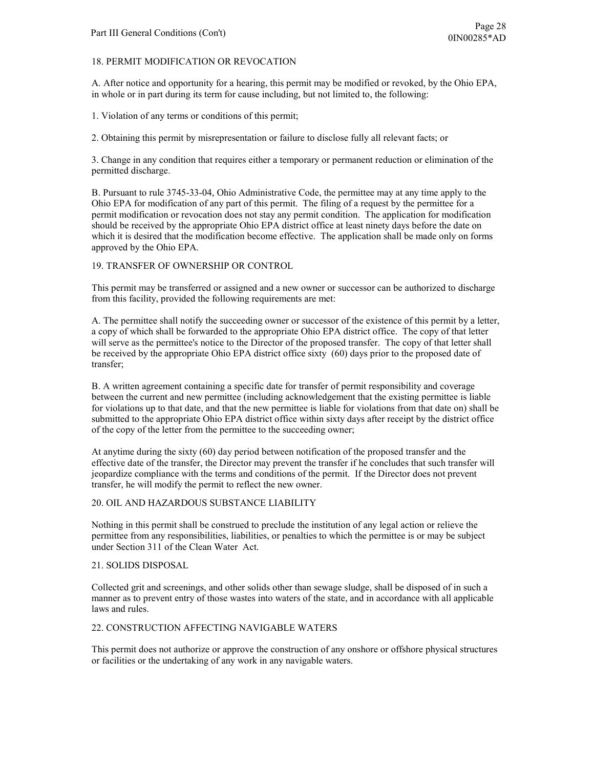### 18. PERMIT MODIFICATION OR REVOCATION

A. After notice and opportunity for a hearing, this permit may be modified or revoked, by the Ohio EPA, in whole or in part during its term for cause including, but not limited to, the following:

1. Violation of any terms or conditions of this permit;

2. Obtaining this permit by misrepresentation or failure to disclose fully all relevant facts; or

3. Change in any condition that requires either a temporary or permanent reduction or elimination of the permitted discharge.

B. Pursuant to rule 3745-33-04, Ohio Administrative Code, the permittee may at any time apply to the Ohio EPA for modification of any part of this permit. The filing of a request by the permittee for a permit modification or revocation does not stay any permit condition. The application for modification should be received by the appropriate Ohio EPA district office at least ninety days before the date on which it is desired that the modification become effective. The application shall be made only on forms approved by the Ohio EPA.

### 19. TRANSFER OF OWNERSHIP OR CONTROL

This permit may be transferred or assigned and a new owner or successor can be authorized to discharge from this facility, provided the following requirements are met:

A. The permittee shall notify the succeeding owner or successor of the existence of this permit by a letter, a copy of which shall be forwarded to the appropriate Ohio EPA district office. The copy of that letter will serve as the permittee's notice to the Director of the proposed transfer. The copy of that letter shall be received by the appropriate Ohio EPA district office sixty (60) days prior to the proposed date of transfer;

B. A written agreement containing a specific date for transfer of permit responsibility and coverage between the current and new permittee (including acknowledgement that the existing permittee is liable for violations up to that date, and that the new permittee is liable for violations from that date on) shall be submitted to the appropriate Ohio EPA district office within sixty days after receipt by the district office of the copy of the letter from the permittee to the succeeding owner;

At anytime during the sixty (60) day period between notification of the proposed transfer and the effective date of the transfer, the Director may prevent the transfer if he concludes that such transfer will jeopardize compliance with the terms and conditions of the permit. If the Director does not prevent transfer, he will modify the permit to reflect the new owner.

#### 20. OIL AND HAZARDOUS SUBSTANCE LIABILITY

Nothing in this permit shall be construed to preclude the institution of any legal action or relieve the permittee from any responsibilities, liabilities, or penalties to which the permittee is or may be subject under Section 311 of the Clean Water Act.

#### 21. SOLIDS DISPOSAL

Collected grit and screenings, and other solids other than sewage sludge, shall be disposed of in such a manner as to prevent entry of those wastes into waters of the state, and in accordance with all applicable laws and rules.

#### 22. CONSTRUCTION AFFECTING NAVIGABLE WATERS

This permit does not authorize or approve the construction of any onshore or offshore physical structures or facilities or the undertaking of any work in any navigable waters.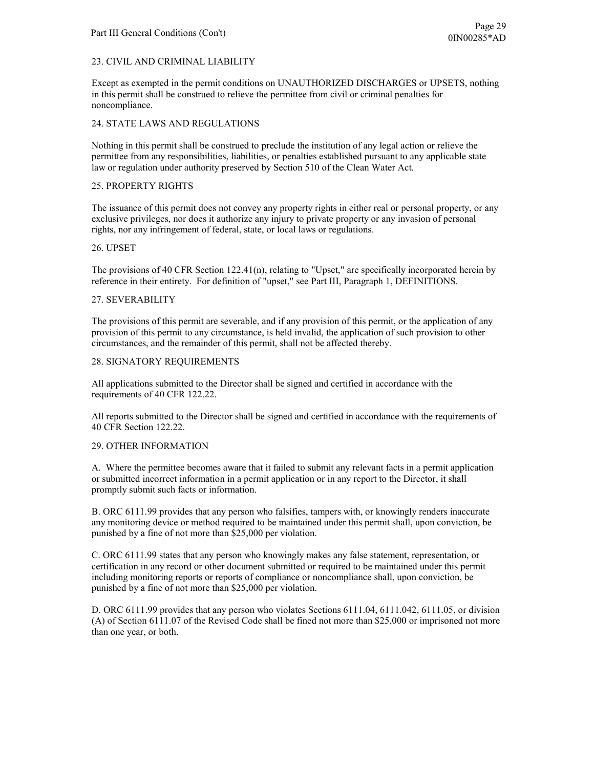# 23. CIVIL AND CRIMINAL LIABILITY

Except as exempted in the permit conditions on UNAUTHORIZED DISCHARGES or UPSETS, nothing in this permit shall be construed to relieve the permittee from civil or criminal penalties for noncompliance.

## 24. STATE LAWS AND REGULATIONS

Nothing in this permit shall be construed to preclude the institution of any legal action or relieve the permittee from any responsibilities, liabilities, or penalties established pursuant to any applicable state law or regulation under authority preserved by Section 510 of the Clean Water Act.

### 25. PROPERTY RIGHTS

The issuance of this permit does not convey any property rights in either real or personal property, or any exclusive privileges, nor does it authorize any injury to private property or any invasion of personal rights, nor any infringement of federal, state, or local laws or regulations.

### 26. UPSET

The provisions of 40 CFR Section 122.41(n), relating to "Upset," are specifically incorporated herein by reference in their entirety. For definition of "upset," see Part III, Paragraph 1, DEFINITIONS.

### 27. SEVERABILITY

The provisions of this permit are severable, and if any provision of this permit, or the application of any provision of this permit to any circumstance, is held invalid, the application of such provision to other circumstances, and the remainder of this permit, shall not be affected thereby.

#### 28. SIGNATORY REQUIREMENTS

All applications submitted to the Director shall be signed and certified in accordance with the requirements of 40 CFR 122.22.

All reports submitted to the Director shall be signed and certified in accordance with the requirements of 40 CFR Section 122.22.

## 29. OTHER INFORMATION

A. Where the permittee becomes aware that it failed to submit any relevant facts in a permit application or submitted incorrect information in a permit application or in any report to the Director, it shall promptly submit such facts or information.

B. ORC 6111.99 provides that any person who falsifies, tampers with, or knowingly renders inaccurate any monitoring device or method required to be maintained under this permit shall, upon conviction, be punished by a fine of not more than \$25,000 per violation.

C. ORC 6111.99 states that any person who knowingly makes any false statement, representation, or certification in any record or other document submitted or required to be maintained under this permit including monitoring reports or reports of compliance or noncompliance shall, upon conviction, be punished by a fine of not more than \$25,000 per violation.

D. ORC 6111.99 provides that any person who violates Sections 6111.04, 6111.042, 6111.05, or division (A) of Section 6111.07 of the Revised Code shall be fined not more than \$25,000 or imprisoned not more than one year, or both.